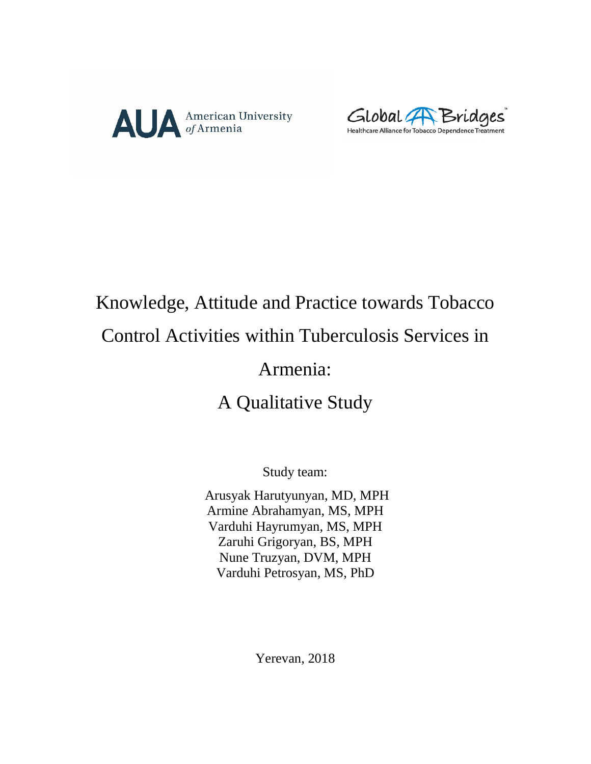



# Knowledge, Attitude and Practice towards Tobacco

# Control Activities within Tuberculosis Services in

# Armenia:

# A Qualitative Study

Study team:

Arusyak Harutyunyan, MD, MPH Armine Abrahamyan, MS, MPH Varduhi Hayrumyan, MS, MPH Zaruhi Grigoryan, BS, MPH Nune Truzyan, DVM, MPH Varduhi Petrosyan, MS, PhD

Yerevan, 2018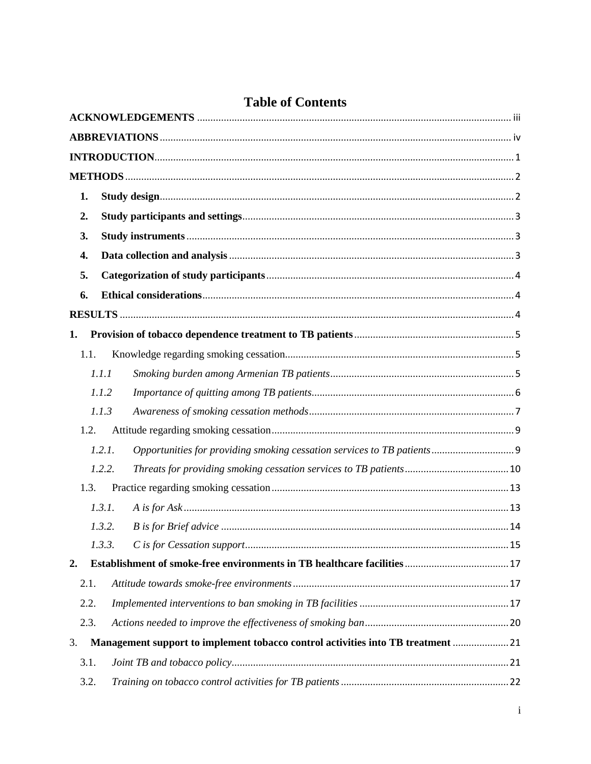| <b>Table of Contents</b> |  |  |
|--------------------------|--|--|
|--------------------------|--|--|

| 1.             |        |                                                                                 |
|----------------|--------|---------------------------------------------------------------------------------|
| 2.             |        |                                                                                 |
| 3.             |        |                                                                                 |
| 4.             |        |                                                                                 |
| 5.             |        |                                                                                 |
| 6.             |        |                                                                                 |
|                |        |                                                                                 |
| 1.             |        |                                                                                 |
| 1.1.           |        |                                                                                 |
|                | 1.1.1  |                                                                                 |
|                | 1.1.2  |                                                                                 |
|                | 1.1.3  |                                                                                 |
| 1.2.           |        |                                                                                 |
|                | 1.2.1. |                                                                                 |
|                | 1.2.2. |                                                                                 |
| 1.3.           |        |                                                                                 |
|                | 1.3.1. |                                                                                 |
|                | 1.3.2. |                                                                                 |
|                | 1.3.3. |                                                                                 |
| $\mathbf{2}$ . |        |                                                                                 |
| 2.1.           |        |                                                                                 |
| 2.2.           |        |                                                                                 |
| 2.3.           |        |                                                                                 |
| 3.             |        | Management support to implement tobacco control activities into TB treatment 21 |
| 3.1.           |        |                                                                                 |
| 3.2.           |        |                                                                                 |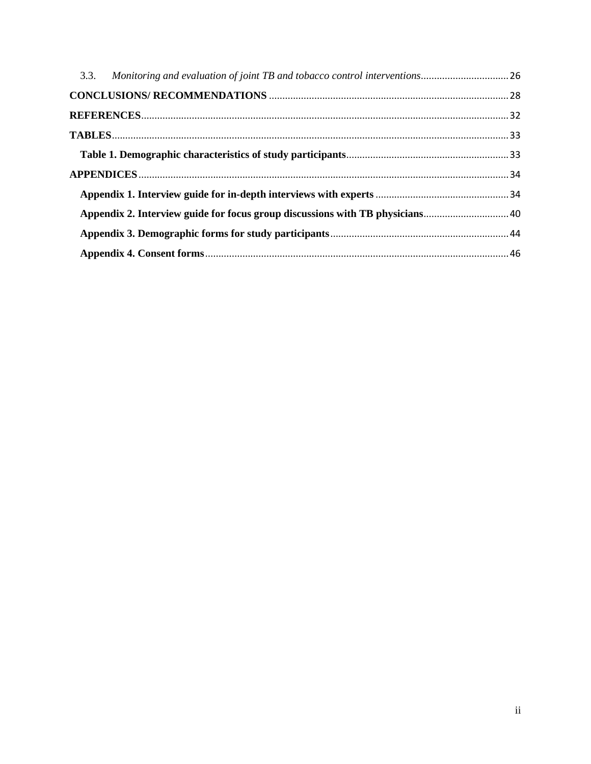| 3.3. Monitoring and evaluation of joint TB and tobacco control interventions26 |  |
|--------------------------------------------------------------------------------|--|
|                                                                                |  |
|                                                                                |  |
|                                                                                |  |
|                                                                                |  |
|                                                                                |  |
|                                                                                |  |
|                                                                                |  |
|                                                                                |  |
|                                                                                |  |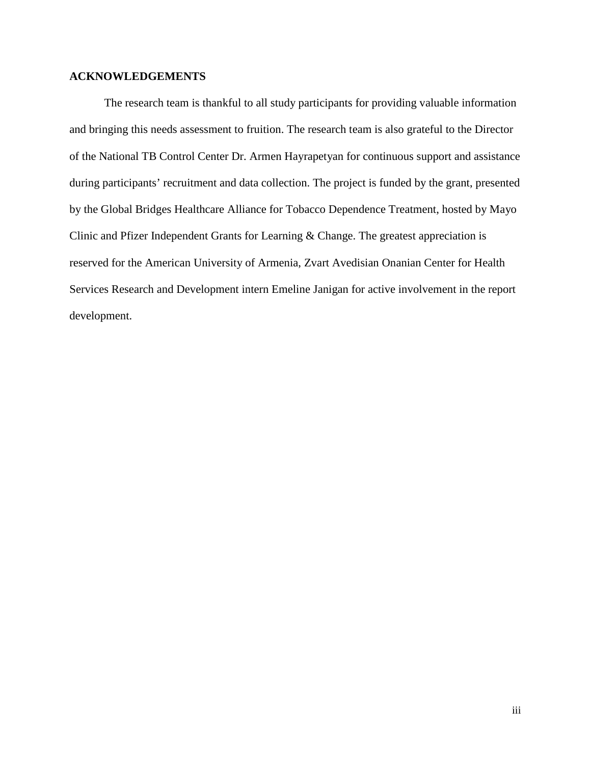#### <span id="page-3-0"></span>**ACKNOWLEDGEMENTS**

The research team is thankful to all study participants for providing valuable information and bringing this needs assessment to fruition. The research team is also grateful to the Director of the National TB Control Center Dr. Armen Hayrapetyan for continuous support and assistance during participants' recruitment and data collection. The project is funded by the grant, presented by the Global Bridges Healthcare Alliance for Tobacco Dependence Treatment, hosted by Mayo Clinic and Pfizer Independent Grants for Learning & Change. The greatest appreciation is reserved for the American University of Armenia, Zvart Avedisian Onanian Center for Health Services Research and Development intern Emeline Janigan for active involvement in the report development.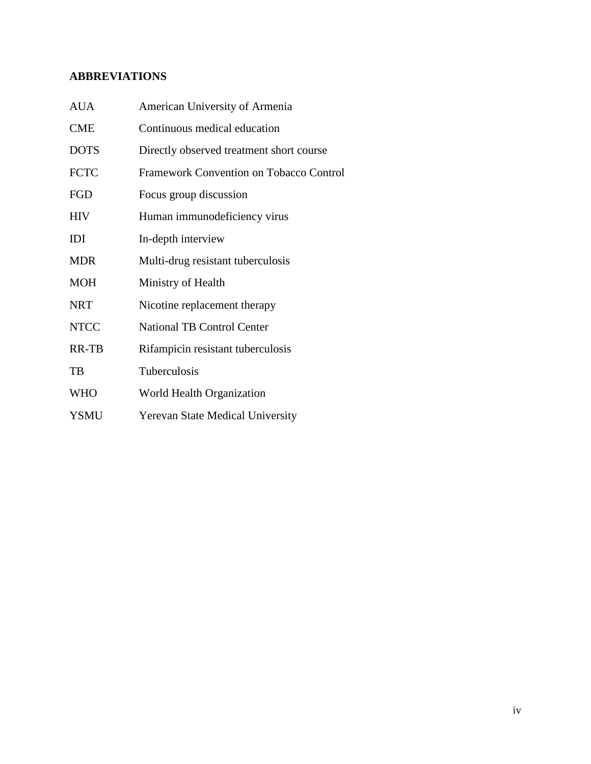# <span id="page-4-0"></span>**ABBREVIATIONS**

| <b>AUA</b>  | American University of Armenia           |
|-------------|------------------------------------------|
| <b>CME</b>  | Continuous medical education             |
| <b>DOTS</b> | Directly observed treatment short course |
| <b>FCTC</b> | Framework Convention on Tobacco Control  |
| FGD         | Focus group discussion                   |
| <b>HIV</b>  | Human immunodeficiency virus             |
| IDI         | In-depth interview                       |
| <b>MDR</b>  | Multi-drug resistant tuberculosis        |
| <b>MOH</b>  | Ministry of Health                       |
| <b>NRT</b>  | Nicotine replacement therapy             |
| <b>NTCC</b> | <b>National TB Control Center</b>        |
| RR-TB       | Rifampicin resistant tuberculosis        |
| TB          | Tuberculosis                             |
| <b>WHO</b>  | World Health Organization                |
| <b>YSMU</b> | <b>Yerevan State Medical University</b>  |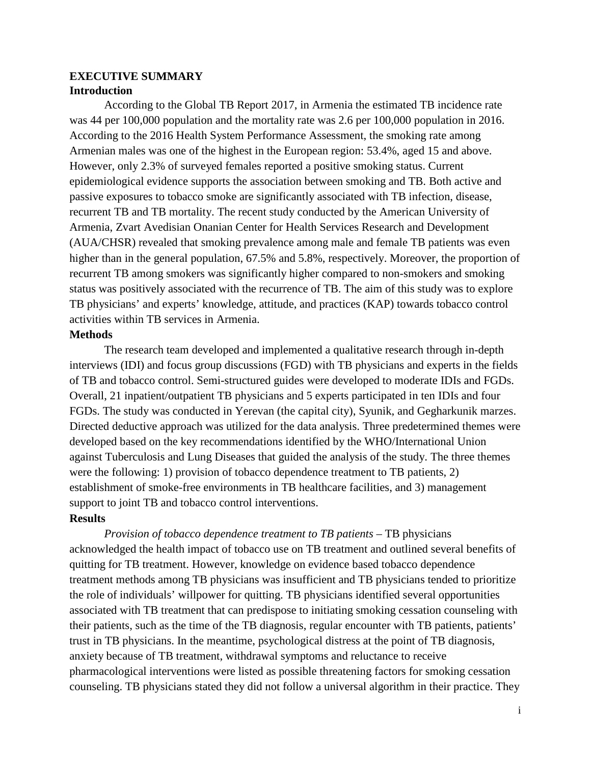#### **EXECUTIVE SUMMARY Introduction**

According to the Global TB Report 2017, in Armenia the estimated TB incidence rate was 44 per 100,000 population and the mortality rate was 2.6 per 100,000 population in 2016. According to the 2016 Health System Performance Assessment, the smoking rate among Armenian males was one of the highest in the European region: 53.4%, aged 15 and above. However, only 2.3% of surveyed females reported a positive smoking status. Current epidemiological evidence supports the association between smoking and TB. Both active and passive exposures to tobacco smoke are significantly associated with TB infection, disease, recurrent TB and TB mortality. The recent study conducted by the American University of Armenia, Zvart Avedisian Onanian Center for Health Services Research and Development (AUA/CHSR) revealed that smoking prevalence among male and female TB patients was even higher than in the general population, 67.5% and 5.8%, respectively. Moreover, the proportion of recurrent TB among smokers was significantly higher compared to non-smokers and smoking status was positively associated with the recurrence of TB. The aim of this study was to explore TB physicians' and experts' knowledge, attitude, and practices (KAP) towards tobacco control activities within TB services in Armenia.

#### **Methods**

The research team developed and implemented a qualitative research through in-depth interviews (IDI) and focus group discussions (FGD) with TB physicians and experts in the fields of TB and tobacco control. Semi-structured guides were developed to moderate IDIs and FGDs. Overall, 21 inpatient/outpatient TB physicians and 5 experts participated in ten IDIs and four FGDs. The study was conducted in Yerevan (the capital city), Syunik, and Gegharkunik marzes. Directed deductive approach was utilized for the data analysis. Three predetermined themes were developed based on the key recommendations identified by the WHO/International Union against Tuberculosis and Lung Diseases that guided the analysis of the study. The three themes were the following: 1) provision of tobacco dependence treatment to TB patients, 2) establishment of smoke-free environments in TB healthcare facilities, and 3) management support to joint TB and tobacco control interventions.

#### **Results**

*Provision of tobacco dependence treatment to TB patients* – TB physicians acknowledged the health impact of tobacco use on TB treatment and outlined several benefits of quitting for TB treatment. However, knowledge on evidence based tobacco dependence treatment methods among TB physicians was insufficient and TB physicians tended to prioritize the role of individuals' willpower for quitting. TB physicians identified several opportunities associated with TB treatment that can predispose to initiating smoking cessation counseling with their patients, such as the time of the TB diagnosis, regular encounter with TB patients, patients' trust in TB physicians. In the meantime, psychological distress at the point of TB diagnosis, anxiety because of TB treatment, withdrawal symptoms and reluctance to receive pharmacological interventions were listed as possible threatening factors for smoking cessation counseling. TB physicians stated they did not follow a universal algorithm in their practice. They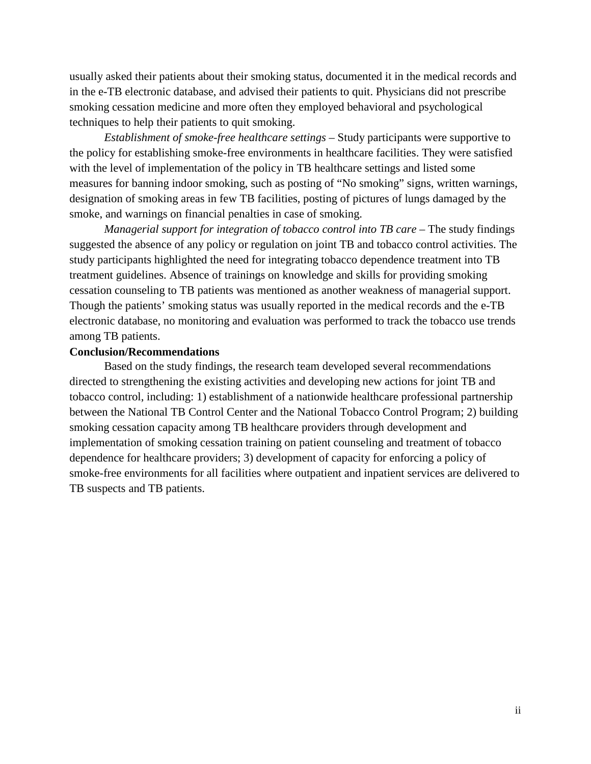usually asked their patients about their smoking status, documented it in the medical records and in the e-TB electronic database, and advised their patients to quit. Physicians did not prescribe smoking cessation medicine and more often they employed behavioral and psychological techniques to help their patients to quit smoking.

*Establishment of smoke-free healthcare settings* – Study participants were supportive to the policy for establishing smoke-free environments in healthcare facilities. They were satisfied with the level of implementation of the policy in TB healthcare settings and listed some measures for banning indoor smoking, such as posting of "No smoking" signs, written warnings, designation of smoking areas in few TB facilities, posting of pictures of lungs damaged by the smoke, and warnings on financial penalties in case of smoking.

*Managerial support for integration of tobacco control into TB care – The study findings* suggested the absence of any policy or regulation on joint TB and tobacco control activities. The study participants highlighted the need for integrating tobacco dependence treatment into TB treatment guidelines. Absence of trainings on knowledge and skills for providing smoking cessation counseling to TB patients was mentioned as another weakness of managerial support. Though the patients' smoking status was usually reported in the medical records and the e-TB electronic database, no monitoring and evaluation was performed to track the tobacco use trends among TB patients.

#### **Conclusion/Recommendations**

Based on the study findings, the research team developed several recommendations directed to strengthening the existing activities and developing new actions for joint TB and tobacco control, including: 1) establishment of a nationwide healthcare professional partnership between the National TB Control Center and the National Tobacco Control Program; 2) building smoking cessation capacity among TB healthcare providers through development and implementation of smoking cessation training on patient counseling and treatment of tobacco dependence for healthcare providers; 3) development of capacity for enforcing a policy of smoke-free environments for all facilities where outpatient and inpatient services are delivered to TB suspects and TB patients.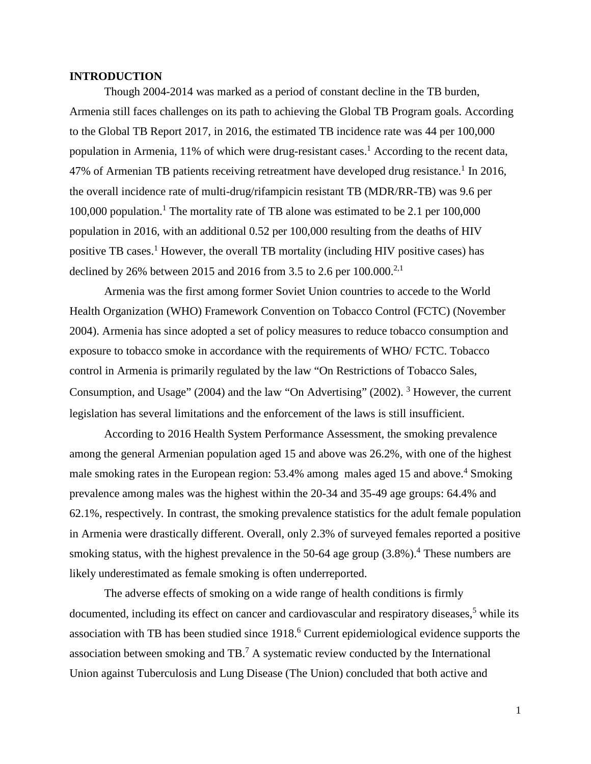#### <span id="page-7-0"></span>**INTRODUCTION**

Though 2004-2014 was marked as a period of constant decline in the TB burden, Armenia still faces challenges on its path to achieving the Global TB Program goals. According to the Global TB Report 2017, in 2016, the estimated TB incidence rate was 44 per 100,000 population in Armenia, 11% of which were drug-resistant cases.<sup>1</sup> According to the recent data, 47% of Armenian TB patients receiving retreatment have developed drug resistance.<sup>1</sup> In 2016, the overall incidence rate of multi-drug/rifampicin resistant TB (MDR/RR-TB) was 9.6 per 100,000 population.<sup>1</sup> The mortality rate of TB alone was estimated to be 2.1 per  $100,000$ population in 2016, with an additional 0.52 per 100,000 resulting from the deaths of HIV positive TB cases. <sup>1</sup> However, the overall TB mortality (including HIV positive cases) has declined by 26% between 2015 and 2016 from 3.5 to 2.6 per  $100.000^{2,1}$ 

Armenia was the first among former Soviet Union countries to accede to the World Health Organization (WHO) Framework Convention on Tobacco Control (FCTC) (November 2004). Armenia has since adopted a set of policy measures to reduce tobacco consumption and exposure to tobacco smoke in accordance with the requirements of WHO/ FCTC. Tobacco control in Armenia is primarily regulated by the law "On Restrictions of Tobacco Sales, Consumption, and Usage" (2004) and the law "On Advertising" (2002). <sup>3</sup> However, the current legislation has several limitations and the enforcement of the laws is still insufficient.

According to 2016 Health System Performance Assessment, the smoking prevalence among the general Armenian population aged 15 and above was 26.2%, with one of the highest male smoking rates in the European region: 53.4% among males aged 15 and above.<sup>4</sup> Smoking prevalence among males was the highest within the 20-34 and 35-49 age groups: 64.4% and 62.1%, respectively. In contrast, the smoking prevalence statistics for the adult female population in Armenia were drastically different. Overall, only 2.3% of surveyed females reported a positive smoking status, with the highest prevalence in the 50-64 age group  $(3.8\%)$ .<sup>4</sup> These numbers are likely underestimated as female smoking is often underreported.

The adverse effects of smoking on a wide range of health conditions is firmly documented, including its effect on cancer and cardiovascular and respiratory diseases, $5$  while its association with TB has been studied since 1918.<sup>6</sup> Current epidemiological evidence supports the association between smoking and TB.7 A systematic review conducted by the International Union against Tuberculosis and Lung Disease (The Union) concluded that both active and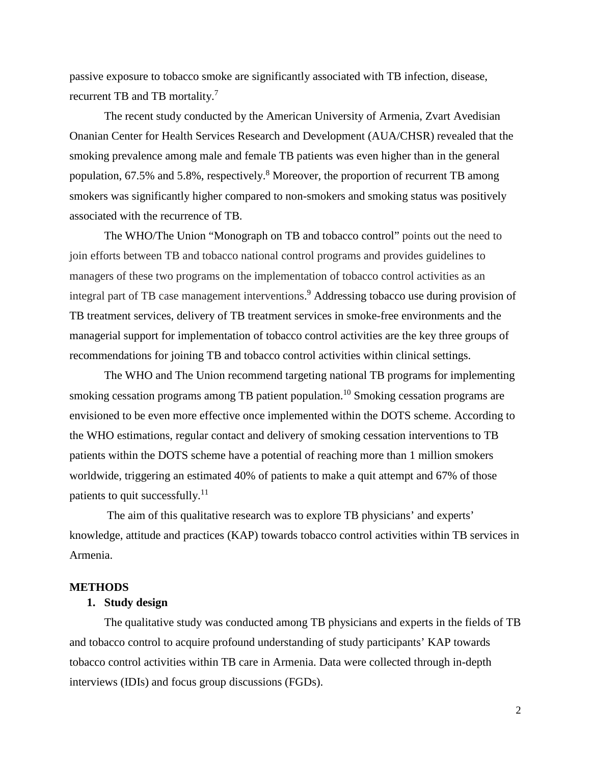passive exposure to tobacco smoke are significantly associated with TB infection, disease, recurrent TB and TB mortality.<sup>7</sup>

The recent study conducted by the American University of Armenia, Zvart Avedisian Onanian Center for Health Services Research and Development (AUA/CHSR) revealed that the smoking prevalence among male and female TB patients was even higher than in the general population, 67.5% and 5.8%, respectively.<sup>8</sup> Moreover, the proportion of recurrent TB among smokers was significantly higher compared to non-smokers and smoking status was positively associated with the recurrence of TB.

The WHO/The Union "Monograph on TB and tobacco control" points out the need to join efforts between TB and tobacco national control programs and provides guidelines to managers of these two programs on the implementation of tobacco control activities as an integral part of TB case management interventions. <sup>9</sup> Addressing tobacco use during provision of TB treatment services, delivery of TB treatment services in smoke-free environments and the managerial support for implementation of tobacco control activities are the key three groups of recommendations for joining TB and tobacco control activities within clinical settings.

The WHO and The Union recommend targeting national TB programs for implementing smoking cessation programs among TB patient population. <sup>10</sup> Smoking cessation programs are envisioned to be even more effective once implemented within the DOTS scheme. According to the WHO estimations, regular contact and delivery of smoking cessation interventions to TB patients within the DOTS scheme have a potential of reaching more than 1 million smokers worldwide, triggering an estimated 40% of patients to make a quit attempt and 67% of those patients to quit successfully.<sup>11</sup>

The aim of this qualitative research was to explore TB physicians' and experts' knowledge, attitude and practices (KAP) towards tobacco control activities within TB services in Armenia.

#### <span id="page-8-1"></span><span id="page-8-0"></span>**METHODS**

#### **1. Study design**

The qualitative study was conducted among TB physicians and experts in the fields of TB and tobacco control to acquire profound understanding of study participants' KAP towards tobacco control activities within TB care in Armenia. Data were collected through in-depth interviews (IDIs) and focus group discussions (FGDs).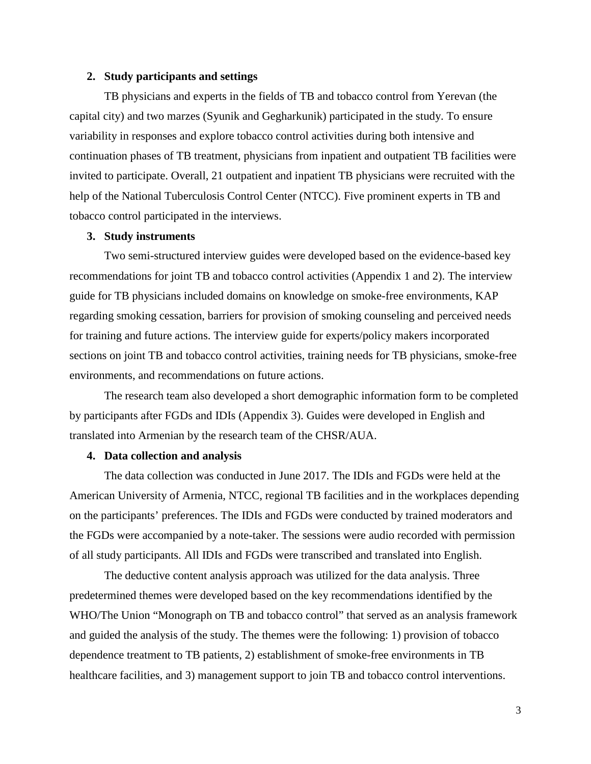#### <span id="page-9-0"></span>**2. Study participants and settings**

TB physicians and experts in the fields of TB and tobacco control from Yerevan (the capital city) and two marzes (Syunik and Gegharkunik) participated in the study. To ensure variability in responses and explore tobacco control activities during both intensive and continuation phases of TB treatment, physicians from inpatient and outpatient TB facilities were invited to participate. Overall, 21 outpatient and inpatient TB physicians were recruited with the help of the National Tuberculosis Control Center (NTCC). Five prominent experts in TB and tobacco control participated in the interviews.

#### <span id="page-9-1"></span>**3. Study instruments**

Two semi-structured interview guides were developed based on the evidence-based key recommendations for joint TB and tobacco control activities (Appendix 1 and 2). The interview guide for TB physicians included domains on knowledge on smoke-free environments, KAP regarding smoking cessation, barriers for provision of smoking counseling and perceived needs for training and future actions. The interview guide for experts/policy makers incorporated sections on joint TB and tobacco control activities, training needs for TB physicians, smoke-free environments, and recommendations on future actions.

The research team also developed a short demographic information form to be completed by participants after FGDs and IDIs (Appendix 3). Guides were developed in English and translated into Armenian by the research team of the CHSR/AUA.

#### <span id="page-9-2"></span>**4. Data collection and analysis**

The data collection was conducted in June 2017. The IDIs and FGDs were held at the American University of Armenia, NTCC, regional TB facilities and in the workplaces depending on the participants' preferences. The IDIs and FGDs were conducted by trained moderators and the FGDs were accompanied by a note-taker. The sessions were audio recorded with permission of all study participants. All IDIs and FGDs were transcribed and translated into English.

The deductive content analysis approach was utilized for the data analysis. Three predetermined themes were developed based on the key recommendations identified by the WHO/The Union "Monograph on TB and tobacco control" that served as an analysis framework and guided the analysis of the study. The themes were the following: 1) provision of tobacco dependence treatment to TB patients, 2) establishment of smoke-free environments in TB healthcare facilities, and 3) management support to join TB and tobacco control interventions.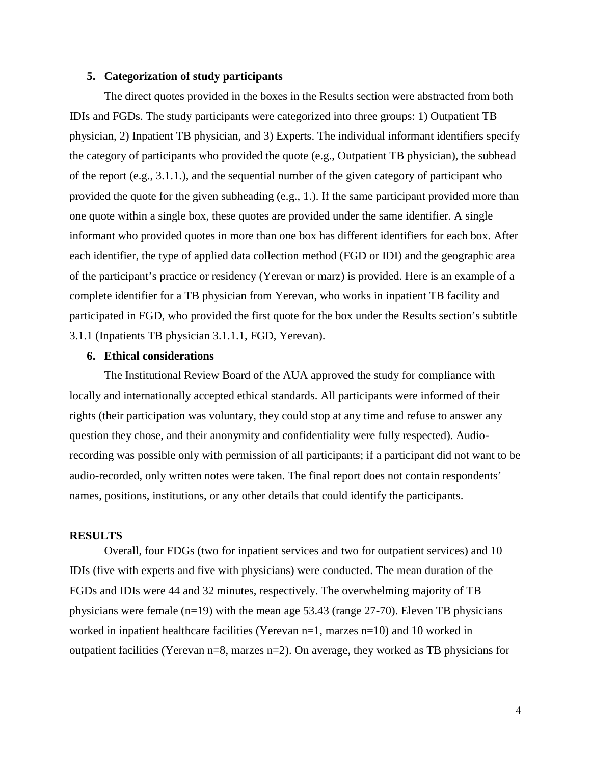#### <span id="page-10-0"></span>**5. Categorization of study participants**

The direct quotes provided in the boxes in the Results section were abstracted from both IDIs and FGDs. The study participants were categorized into three groups: 1) Outpatient TB physician, 2) Inpatient TB physician, and 3) Experts. The individual informant identifiers specify the category of participants who provided the quote (e.g., Outpatient TB physician), the subhead of the report (e.g., 3.1.1.), and the sequential number of the given category of participant who provided the quote for the given subheading (e.g., 1.). If the same participant provided more than one quote within a single box, these quotes are provided under the same identifier. A single informant who provided quotes in more than one box has different identifiers for each box. After each identifier, the type of applied data collection method (FGD or IDI) and the geographic area of the participant's practice or residency (Yerevan or marz) is provided. Here is an example of a complete identifier for a TB physician from Yerevan, who works in inpatient TB facility and participated in FGD, who provided the first quote for the box under the Results section's subtitle 3.1.1 (Inpatients TB physician 3.1.1.1, FGD, Yerevan).

#### <span id="page-10-1"></span>**6. Ethical considerations**

The Institutional Review Board of the AUA approved the study for compliance with locally and internationally accepted ethical standards. All participants were informed of their rights (their participation was voluntary, they could stop at any time and refuse to answer any question they chose, and their anonymity and confidentiality were fully respected). Audiorecording was possible only with permission of all participants; if a participant did not want to be audio-recorded, only written notes were taken. The final report does not contain respondents' names, positions, institutions, or any other details that could identify the participants.

#### <span id="page-10-2"></span>**RESULTS**

Overall, four FDGs (two for inpatient services and two for outpatient services) and 10 IDIs (five with experts and five with physicians) were conducted. The mean duration of the FGDs and IDIs were 44 and 32 minutes, respectively. The overwhelming majority of TB physicians were female  $(n=19)$  with the mean age 53.43 (range 27-70). Eleven TB physicians worked in inpatient healthcare facilities (Yerevan n=1, marzes n=10) and 10 worked in outpatient facilities (Yerevan n=8, marzes n=2). On average, they worked as TB physicians for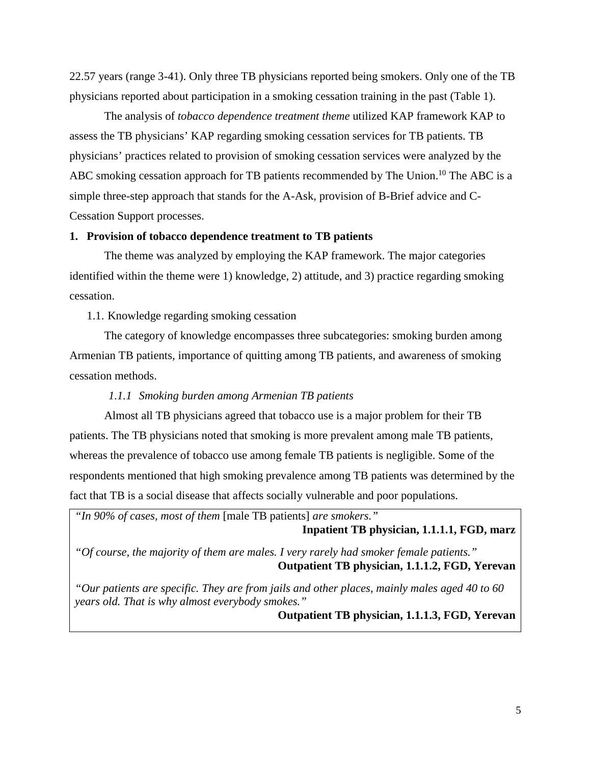22.57 years (range 3-41). Only three TB physicians reported being smokers. Only one of the TB physicians reported about participation in a smoking cessation training in the past (Table 1).

The analysis of *tobacco dependence treatment theme* utilized KAP framework KAP to assess the TB physicians' KAP regarding smoking cessation services for TB patients. TB physicians' practices related to provision of smoking cessation services were analyzed by the ABC smoking cessation approach for TB patients recommended by The Union.<sup>10</sup> The ABC is a simple three-step approach that stands for the A-Ask, provision of B-Brief advice and C-Cessation Support processes.

#### <span id="page-11-0"></span>**1. Provision of tobacco dependence treatment to TB patients**

The theme was analyzed by employing the KAP framework. The major categories identified within the theme were 1) knowledge, 2) attitude, and 3) practice regarding smoking cessation.

<span id="page-11-1"></span>1.1. Knowledge regarding smoking cessation

The category of knowledge encompasses three subcategories: smoking burden among Armenian TB patients, importance of quitting among TB patients, and awareness of smoking cessation methods.

#### *1.1.1 Smoking burden among Armenian TB patients*

<span id="page-11-2"></span>Almost all TB physicians agreed that tobacco use is a major problem for their TB patients. The TB physicians noted that smoking is more prevalent among male TB patients, whereas the prevalence of tobacco use among female TB patients is negligible. Some of the respondents mentioned that high smoking prevalence among TB patients was determined by the fact that TB is a social disease that affects socially vulnerable and poor populations.

*"In 90% of cases, most of them* [male TB patients] *are smokers."*  **Inpatient TB physician, 1.1.1.1, FGD, marz** *"Of course, the majority of them are males. I very rarely had smoker female patients."* **Outpatient TB physician, 1.1.1.2, FGD, Yerevan** *"Our patients are specific. They are from jails and other places, mainly males aged 40 to 60* 

*years old. That is why almost everybody smokes."* **Outpatient TB physician, 1.1.1.3, FGD, Yerevan**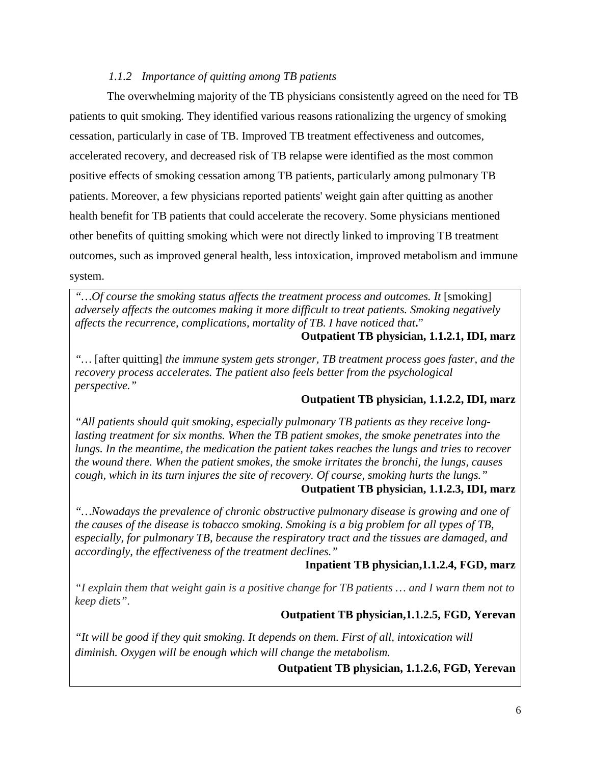# <span id="page-12-0"></span>*1.1.2 Importance of quitting among TB patients*

The overwhelming majority of the TB physicians consistently agreed on the need for TB patients to quit smoking. They identified various reasons rationalizing the urgency of smoking cessation, particularly in case of TB. Improved TB treatment effectiveness and outcomes, accelerated recovery, and decreased risk of TB relapse were identified as the most common positive effects of smoking cessation among TB patients, particularly among pulmonary TB patients. Moreover, a few physicians reported patients' weight gain after quitting as another health benefit for TB patients that could accelerate the recovery. Some physicians mentioned other benefits of quitting smoking which were not directly linked to improving TB treatment outcomes, such as improved general health, less intoxication, improved metabolism and immune system.

*"…Of course the smoking status affects the treatment process and outcomes. It* [smoking] *adversely affects the outcomes making it more difficult to treat patients. Smoking negatively affects the recurrence, complications, mortality of TB. I have noticed that***.**"

#### **Outpatient TB physician, 1.1.2.1, IDI, marz**

*"…* [after quitting] *the immune system gets stronger, TB treatment process goes faster, and the recovery process accelerates. The patient also feels better from the psychological perspective."*

# **Outpatient TB physician, 1.1.2.2, IDI, marz**

*"All patients should quit smoking, especially pulmonary TB patients as they receive longlasting treatment for six months. When the TB patient smokes, the smoke penetrates into the lungs. In the meantime, the medication the patient takes reaches the lungs and tries to recover the wound there. When the patient smokes, the smoke irritates the bronchi, the lungs, causes cough, which in its turn injures the site of recovery. Of course, smoking hurts the lungs."*

# **Outpatient TB physician, 1.1.2.3, IDI, marz**

*"…Nowadays the prevalence of chronic obstructive pulmonary disease is growing and one of the causes of the disease is tobacco smoking. Smoking is a big problem for all types of TB, especially, for pulmonary TB, because the respiratory tract and the tissues are damaged, and accordingly, the effectiveness of the treatment declines."*

#### **Inpatient TB physician,1.1.2.4, FGD, marz**

*"I explain them that weight gain is a positive change for TB patients … and I warn them not to keep diets".*

#### **Outpatient TB physician,1.1.2.5, FGD, Yerevan**

*"It will be good if they quit smoking. It depends on them. First of all, intoxication will diminish. Oxygen will be enough which will change the metabolism.* 

# **Outpatient TB physician, 1.1.2.6, FGD, Yerevan**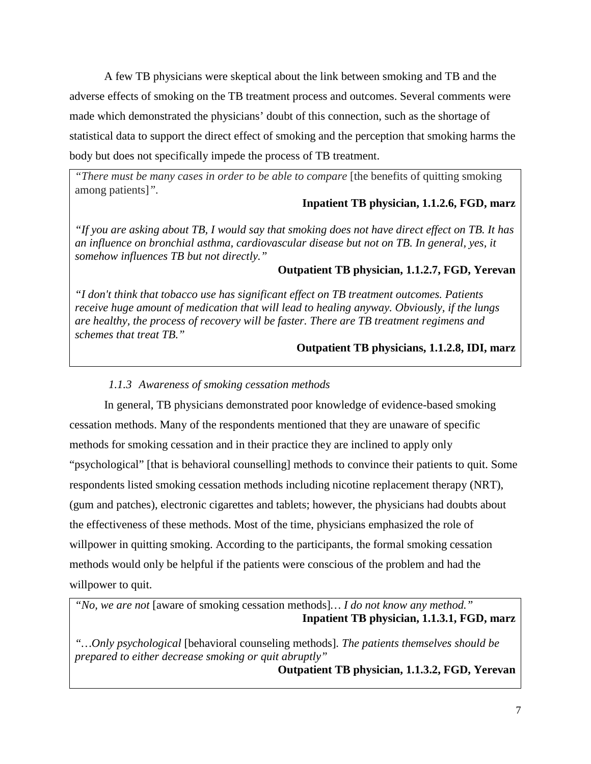A few TB physicians were skeptical about the link between smoking and TB and the adverse effects of smoking on the TB treatment process and outcomes. Several comments were made which demonstrated the physicians' doubt of this connection, such as the shortage of statistical data to support the direct effect of smoking and the perception that smoking harms the body but does not specifically impede the process of TB treatment.

*"There must be many cases in order to be able to compare* [the benefits of quitting smoking among patients]*".*

# **Inpatient TB physician, 1.1.2.6, FGD, marz**

*"If you are asking about TB, I would say that smoking does not have direct effect on TB. It has an influence on bronchial asthma, cardiovascular disease but not on TB. In general, yes, it somehow influences TB but not directly."*

#### **Outpatient TB physician, 1.1.2.7, FGD, Yerevan**

*"I don't think that tobacco use has significant effect on TB treatment outcomes. Patients receive huge amount of medication that will lead to healing anyway. Obviously, if the lungs are healthy, the process of recovery will be faster. There are TB treatment regimens and schemes that treat TB."* 

#### **Outpatient TB physicians, 1.1.2.8, IDI, marz**

#### *1.1.3 Awareness of smoking cessation methods*

<span id="page-13-0"></span>In general, TB physicians demonstrated poor knowledge of evidence-based smoking cessation methods. Many of the respondents mentioned that they are unaware of specific methods for smoking cessation and in their practice they are inclined to apply only "psychological" [that is behavioral counselling] methods to convince their patients to quit. Some respondents listed smoking cessation methods including nicotine replacement therapy (NRT), (gum and patches), electronic cigarettes and tablets; however, the physicians had doubts about the effectiveness of these methods. Most of the time, physicians emphasized the role of willpower in quitting smoking. According to the participants, the formal smoking cessation methods would only be helpful if the patients were conscious of the problem and had the willpower to quit.

*"No, we are not* [aware of smoking cessation methods]*… I do not know any method."* **Inpatient TB physician, 1.1.3.1, FGD, marz**

*"…Only psychological* [behavioral counseling methods]*. The patients themselves should be prepared to either decrease smoking or quit abruptly"*

**Outpatient TB physician, 1.1.3.2, FGD, Yerevan**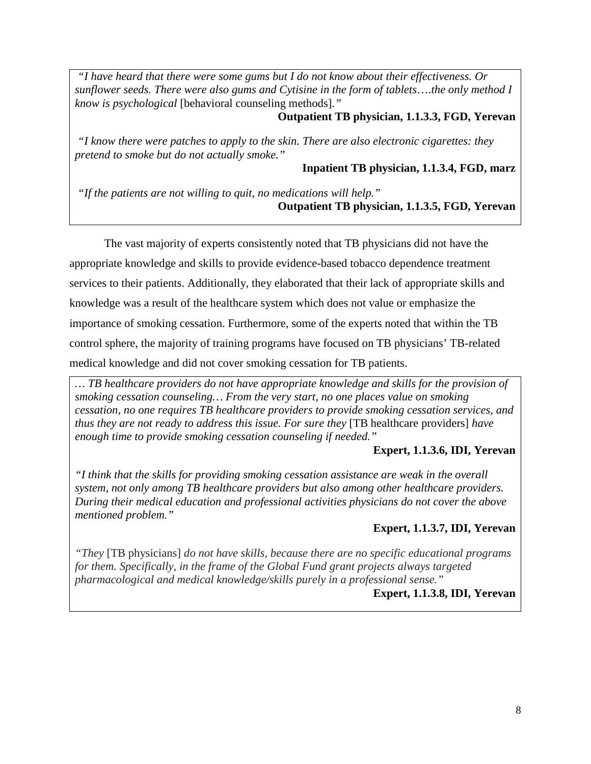*"I have heard that there were some gums but I do not know about their effectiveness. Or sunflower seeds. There were also gums and Cytisine in the form of tablets*….*the only method I know is psychological* [behavioral counseling methods]*."*

#### **Outpatient TB physician, 1.1.3.3, FGD, Yerevan**

*"I know there were patches to apply to the skin. There are also electronic cigarettes: they pretend to smoke but do not actually smoke."*

**Inpatient TB physician, 1.1.3.4, FGD, marz**

*"If the patients are not willing to quit, no medications will help."* **Outpatient TB physician, 1.1.3.5, FGD, Yerevan**

The vast majority of experts consistently noted that TB physicians did not have the appropriate knowledge and skills to provide evidence-based tobacco dependence treatment services to their patients. Additionally, they elaborated that their lack of appropriate skills and knowledge was a result of the healthcare system which does not value or emphasize the importance of smoking cessation. Furthermore, some of the experts noted that within the TB control sphere, the majority of training programs have focused on TB physicians' TB-related medical knowledge and did not cover smoking cessation for TB patients.

*… TB healthcare providers do not have appropriate knowledge and skills for the provision of smoking cessation counseling… From the very start, no one places value on smoking cessation, no one requires TB healthcare providers to provide smoking cessation services, and thus they are not ready to address this issue. For sure they* [TB healthcare providers] *have enough time to provide smoking cessation counseling if needed."*

# **Expert, 1.1.3.6, IDI, Yerevan**

*"I think that the skills for providing smoking cessation assistance are weak in the overall system, not only among TB healthcare providers but also among other healthcare providers. During their medical education and professional activities physicians do not cover the above mentioned problem."*

# **Expert, 1.1.3.7, IDI, Yerevan**

<span id="page-14-0"></span>*"They* [TB physicians] *do not have skills, because there are no specific educational programs for them. Specifically, in the frame of the Global Fund grant projects always targeted pharmacological and medical knowledge/skills purely in a professional sense."*

# **Expert, 1.1.3.8, IDI, Yerevan**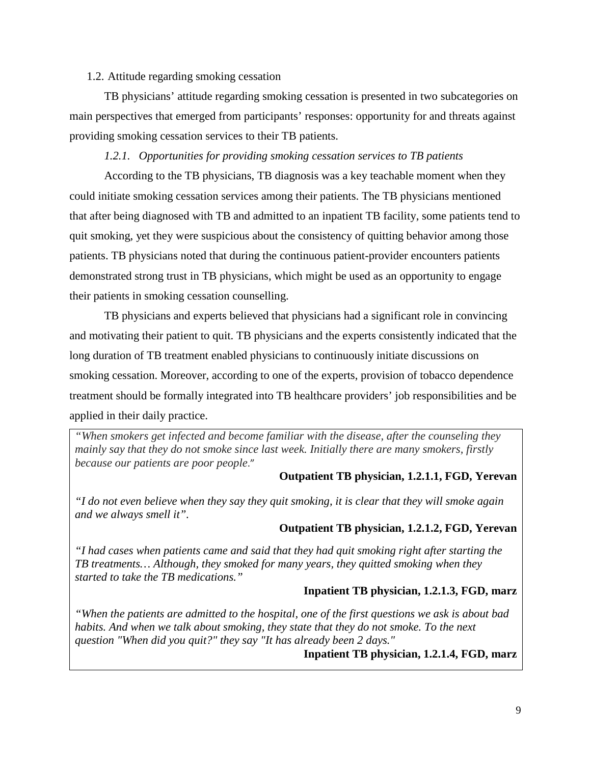#### 1.2. Attitude regarding smoking cessation

TB physicians' attitude regarding smoking cessation is presented in two subcategories on main perspectives that emerged from participants' responses: opportunity for and threats against providing smoking cessation services to their TB patients.

#### *1.2.1. Opportunities for providing smoking cessation services to TB patients*

<span id="page-15-0"></span>According to the TB physicians, TB diagnosis was a key teachable moment when they could initiate smoking cessation services among their patients. The TB physicians mentioned that after being diagnosed with TB and admitted to an inpatient TB facility, some patients tend to quit smoking, yet they were suspicious about the consistency of quitting behavior among those patients. TB physicians noted that during the continuous patient-provider encounters patients demonstrated strong trust in TB physicians, which might be used as an opportunity to engage their patients in smoking cessation counselling.

TB physicians and experts believed that physicians had a significant role in convincing and motivating their patient to quit. TB physicians and the experts consistently indicated that the long duration of TB treatment enabled physicians to continuously initiate discussions on smoking cessation. Moreover, according to one of the experts, provision of tobacco dependence treatment should be formally integrated into TB healthcare providers' job responsibilities and be applied in their daily practice.

*"When smokers get infected and become familiar with the disease, after the counseling they mainly say that they do not smoke since last week. Initially there are many smokers, firstly because our patients are poor people*."

#### **Outpatient TB physician, 1.2.1.1, FGD, Yerevan**

*"I do not even believe when they say they quit smoking, it is clear that they will smoke again and we always smell it".*

#### **Outpatient TB physician, 1.2.1.2, FGD, Yerevan**

*"I had cases when patients came and said that they had quit smoking right after starting the TB treatments… Although, they smoked for many years, they quitted smoking when they started to take the TB medications."*

#### **Inpatient TB physician, 1.2.1.3, FGD, marz**

*"When the patients are admitted to the hospital, one of the first questions we ask is about bad habits. And when we talk about smoking, they state that they do not smoke. To the next question "When did you quit?" they say "It has already been 2 days."*

**Inpatient TB physician, 1.2.1.4, FGD, marz**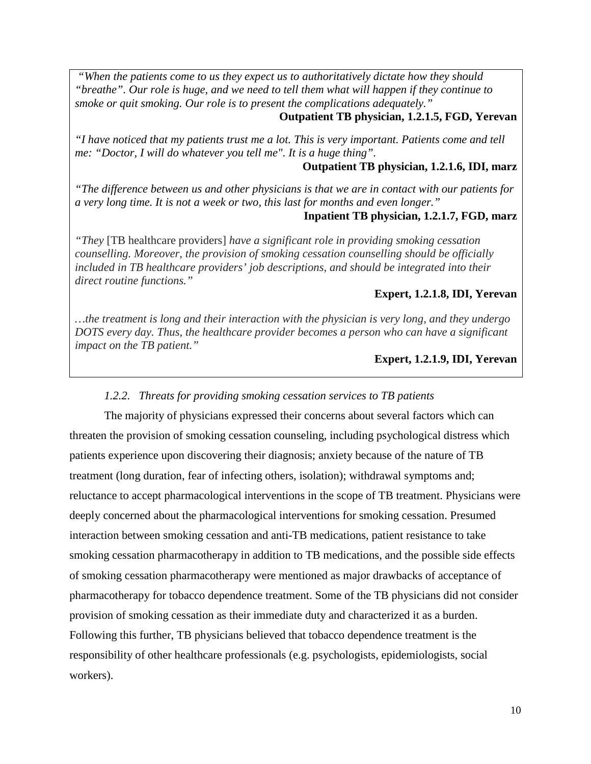*"When the patients come to us they expect us to authoritatively dictate how they should "breathe". Our role is huge, and we need to tell them what will happen if they continue to smoke or quit smoking. Our role is to present the complications adequately."*

#### **Outpatient TB physician, 1.2.1.5, FGD, Yerevan**

*"I have noticed that my patients trust me a lot. This is very important. Patients come and tell me: "Doctor, I will do whatever you tell me". It is a huge thing".*

#### **Outpatient TB physician, 1.2.1.6, IDI, marz**

*"The difference between us and other physicians is that we are in contact with our patients for a very long time. It is not a week or two, this last for months and even longer."*

#### **Inpatient TB physician, 1.2.1.7, FGD, marz**

*"They* [TB healthcare providers] *have a significant role in providing smoking cessation counselling. Moreover, the provision of smoking cessation counselling should be officially included in TB healthcare providers' job descriptions, and should be integrated into their direct routine functions."*

#### **Expert, 1.2.1.8, IDI, Yerevan**

*…the treatment is long and their interaction with the physician is very long, and they undergo DOTS every day. Thus, the healthcare provider becomes a person who can have a significant impact on the TB patient."* 

#### **Expert, 1.2.1.9, IDI, Yerevan**

#### *1.2.2. Threats for providing smoking cessation services to TB patients*

<span id="page-16-0"></span>The majority of physicians expressed their concerns about several factors which can threaten the provision of smoking cessation counseling, including psychological distress which patients experience upon discovering their diagnosis; anxiety because of the nature of TB treatment (long duration, fear of infecting others, isolation); withdrawal symptoms and; reluctance to accept pharmacological interventions in the scope of TB treatment. Physicians were deeply concerned about the pharmacological interventions for smoking cessation. Presumed interaction between smoking cessation and anti-TB medications, patient resistance to take smoking cessation pharmacotherapy in addition to TB medications, and the possible side effects of smoking cessation pharmacotherapy were mentioned as major drawbacks of acceptance of pharmacotherapy for tobacco dependence treatment. Some of the TB physicians did not consider provision of smoking cessation as their immediate duty and characterized it as a burden. Following this further, TB physicians believed that tobacco dependence treatment is the responsibility of other healthcare professionals (e.g. psychologists, epidemiologists, social workers).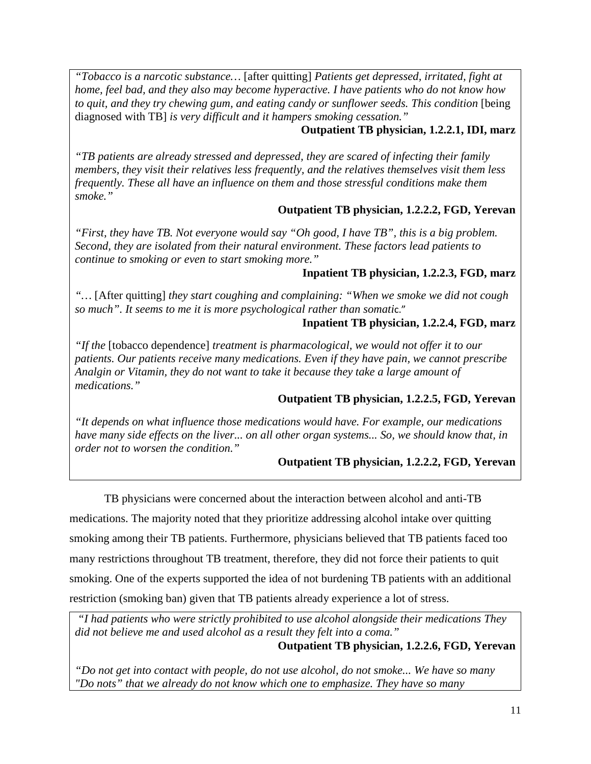*"Tobacco is a narcotic substance…* [after quitting] *Patients get depressed, irritated, fight at home, feel bad, and they also may become hyperactive. I have patients who do not know how*  to quit, and they try chewing gum, and eating candy or sunflower seeds. This condition [being] diagnosed with TB] *is very difficult and it hampers smoking cessation."*

# **Outpatient TB physician, 1.2.2.1, IDI, marz**

*"TB patients are already stressed and depressed, they are scared of infecting their family members, they visit their relatives less frequently, and the relatives themselves visit them less frequently. These all have an influence on them and those stressful conditions make them smoke."*

# **Outpatient TB physician, 1.2.2.2, FGD, Yerevan**

*"First, they have TB. Not everyone would say "Oh good, I have TB", this is a big problem. Second, they are isolated from their natural environment. These factors lead patients to continue to smoking or even to start smoking more."* 

# **Inpatient TB physician, 1.2.2.3, FGD, marz**

*"…* [After quitting] *they start coughing and complaining: "When we smoke we did not cough so much". It seems to me it is more psychological rather than somati*c."

# **Inpatient TB physician, 1.2.2.4, FGD, marz**

*"If the* [tobacco dependence] *treatment is pharmacological, we would not offer it to our patients. Our patients receive many medications. Even if they have pain, we cannot prescribe Analgin or Vitamin, they do not want to take it because they take a large amount of medications."*

# **Outpatient TB physician, 1.2.2.5, FGD, Yerevan**

*"It depends on what influence those medications would have. For example, our medications have many side effects on the liver... on all other organ systems... So, we should know that, in order not to worsen the condition."*

# **Outpatient TB physician, 1.2.2.2, FGD, Yerevan**

TB physicians were concerned about the interaction between alcohol and anti-TB medications. The majority noted that they prioritize addressing alcohol intake over quitting smoking among their TB patients. Furthermore, physicians believed that TB patients faced too many restrictions throughout TB treatment, therefore, they did not force their patients to quit smoking. One of the experts supported the idea of not burdening TB patients with an additional restriction (smoking ban) given that TB patients already experience a lot of stress.

*"I had patients who were strictly prohibited to use alcohol alongside their medications They did not believe me and used alcohol as a result they felt into a coma."*

**Outpatient TB physician, 1.2.2.6, FGD, Yerevan**

*"Do not get into contact with people, do not use alcohol, do not smoke... We have so many "Do nots" that we already do not know which one to emphasize. They have so many*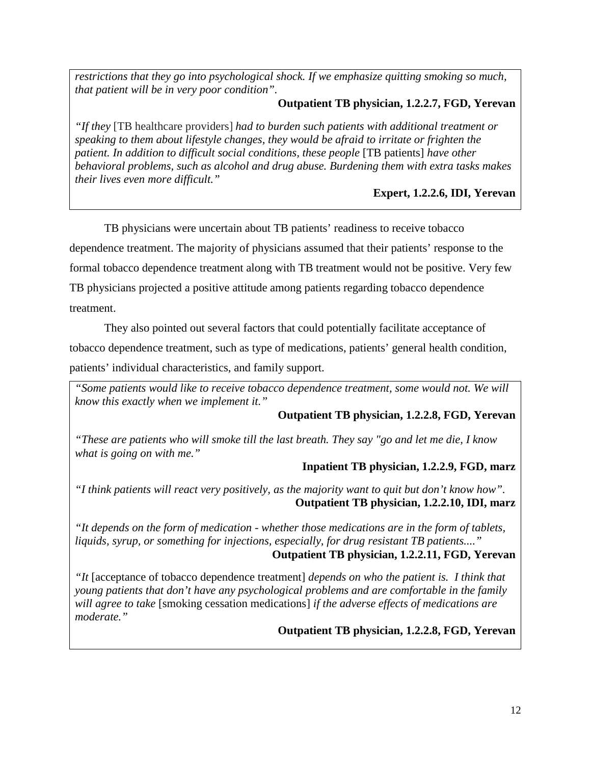*restrictions that they go into psychological shock. If we emphasize quitting smoking so much, that patient will be in very poor condition".*

# **Outpatient TB physician, 1.2.2.7, FGD, Yerevan**

*"If they* [TB healthcare providers] *had to burden such patients with additional treatment or speaking to them about lifestyle changes, they would be afraid to irritate or frighten the patient. In addition to difficult social conditions, these people* [TB patients] *have other behavioral problems, such as alcohol and drug abuse. Burdening them with extra tasks makes their lives even more difficult."*

**Expert, 1.2.2.6, IDI, Yerevan**

TB physicians were uncertain about TB patients' readiness to receive tobacco dependence treatment. The majority of physicians assumed that their patients' response to the formal tobacco dependence treatment along with TB treatment would not be positive. Very few TB physicians projected a positive attitude among patients regarding tobacco dependence treatment.

They also pointed out several factors that could potentially facilitate acceptance of tobacco dependence treatment, such as type of medications, patients' general health condition, patients' individual characteristics, and family support.

*"Some patients would like to receive tobacco dependence treatment, some would not. We will know this exactly when we implement it."*

# **Outpatient TB physician, 1.2.2.8, FGD, Yerevan**

*"These are patients who will smoke till the last breath. They say "go and let me die, I know what is going on with me."*

# **Inpatient TB physician, 1.2.2.9, FGD, marz**

*"I think patients will react very positively, as the majority want to quit but don't know how".* **Outpatient TB physician, 1.2.2.10, IDI, marz**

*"It depends on the form of medication - whether those medications are in the form of tablets, liquids, syrup, or something for injections, especially, for drug resistant TB patients...."*

# **Outpatient TB physician, 1.2.2.11, FGD, Yerevan**

*"It* [acceptance of tobacco dependence treatment] *depends on who the patient is. I think that young patients that don't have any psychological problems and are comfortable in the family will agree to take* [smoking cessation medications] *if the adverse effects of medications are moderate."*

# **Outpatient TB physician, 1.2.2.8, FGD, Yerevan**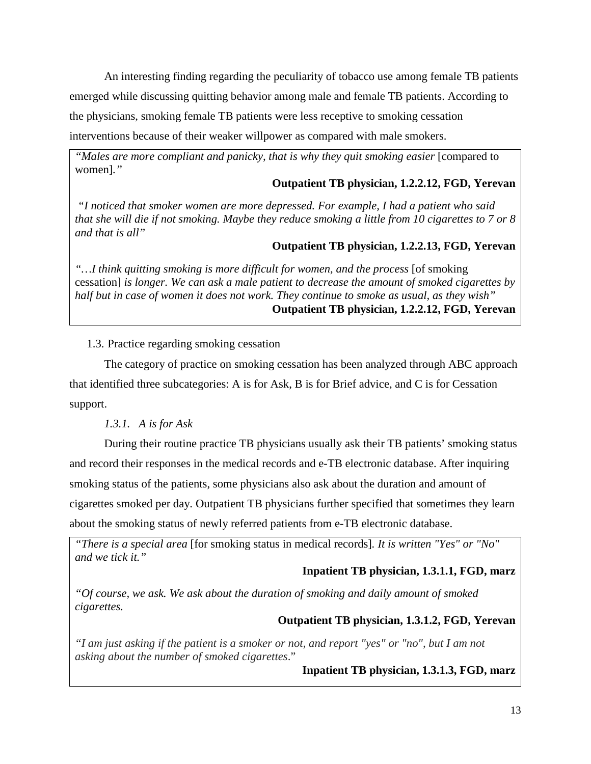An interesting finding regarding the peculiarity of tobacco use among female TB patients emerged while discussing quitting behavior among male and female TB patients. According to the physicians, smoking female TB patients were less receptive to smoking cessation interventions because of their weaker willpower as compared with male smokers.

*"Males are more compliant and panicky, that is why they quit smoking easier* [compared to women]*."*

### **Outpatient TB physician, 1.2.2.12, FGD, Yerevan**

*"I noticed that smoker women are more depressed. For example, I had a patient who said that she will die if not smoking. Maybe they reduce smoking a little from 10 cigarettes to 7 or 8 and that is all"*

### **Outpatient TB physician, 1.2.2.13, FGD, Yerevan**

*"…I think quitting smoking is more difficult for women, and the process* [of smoking cessation] *is longer. We can ask a male patient to decrease the amount of smoked cigarettes by half but in case of women it does not work. They continue to smoke as usual, as they wish"* **Outpatient TB physician, 1.2.2.12, FGD, Yerevan**

#### <span id="page-19-0"></span>1.3. Practice regarding smoking cessation

The category of practice on smoking cessation has been analyzed through ABC approach that identified three subcategories: A is for Ask, B is for Brief advice, and C is for Cessation support.

#### *1.3.1. A is for Ask*

<span id="page-19-1"></span>During their routine practice TB physicians usually ask their TB patients' smoking status and record their responses in the medical records and e-TB electronic database. After inquiring smoking status of the patients, some physicians also ask about the duration and amount of cigarettes smoked per day. Outpatient TB physicians further specified that sometimes they learn about the smoking status of newly referred patients from e-TB electronic database.

*"There is a special area* [for smoking status in medical records]*. It is written "Yes" or "No" and we tick it."*

### **Inpatient TB physician, 1.3.1.1, FGD, marz**

*"Of course, we ask. We ask about the duration of smoking and daily amount of smoked cigarettes.*

#### **Outpatient TB physician, 1.3.1.2, FGD, Yerevan**

*"I am just asking if the patient is a smoker or not, and report "yes" or "no", but I am not asking about the number of smoked cigarettes*."

#### **Inpatient TB physician, 1.3.1.3, FGD, marz**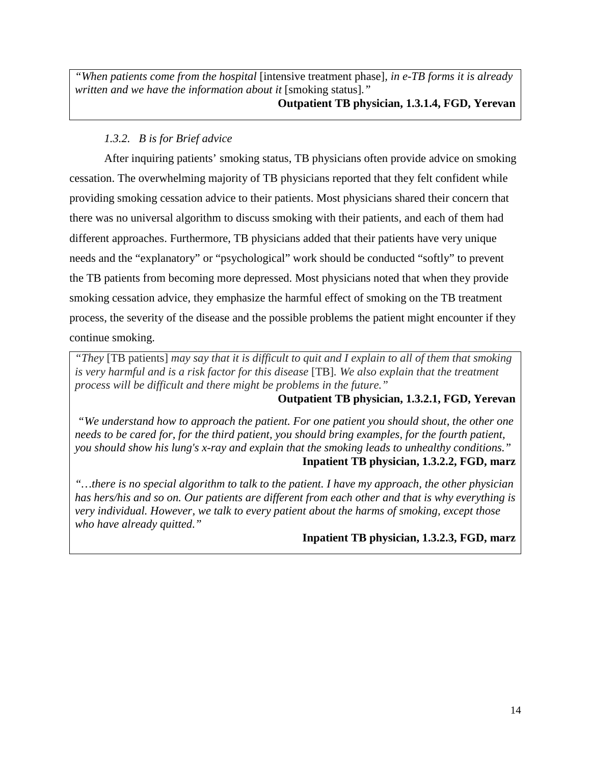*"When patients come from the hospital* [intensive treatment phase]*, in e-TB forms it is already written and we have the information about it* [smoking status]*."* **Outpatient TB physician, 1.3.1.4, FGD, Yerevan**

# *1.3.2. B is for Brief advice*

<span id="page-20-0"></span>After inquiring patients' smoking status, TB physicians often provide advice on smoking cessation. The overwhelming majority of TB physicians reported that they felt confident while providing smoking cessation advice to their patients. Most physicians shared their concern that there was no universal algorithm to discuss smoking with their patients, and each of them had different approaches. Furthermore, TB physicians added that their patients have very unique needs and the "explanatory" or "psychological" work should be conducted "softly" to prevent the TB patients from becoming more depressed. Most physicians noted that when they provide smoking cessation advice, they emphasize the harmful effect of smoking on the TB treatment process, the severity of the disease and the possible problems the patient might encounter if they continue smoking.

*"They* [TB patients] *may say that it is difficult to quit and I explain to all of them that smoking is very harmful and is a risk factor for this disease* [TB]*. We also explain that the treatment process will be difficult and there might be problems in the future."*

# **Outpatient TB physician, 1.3.2.1, FGD, Yerevan**

*"We understand how to approach the patient. For one patient you should shout, the other one needs to be cared for, for the third patient, you should bring examples, for the fourth patient, you should show his lung's x-ray and explain that the smoking leads to unhealthy conditions."* **Inpatient TB physician, 1.3.2.2, FGD, marz**

<span id="page-20-1"></span>*"…there is no special algorithm to talk to the patient. I have my approach, the other physician has hers/his and so on. Our patients are different from each other and that is why everything is very individual. However, we talk to every patient about the harms of smoking, except those who have already quitted."*

**Inpatient TB physician, 1.3.2.3, FGD, marz**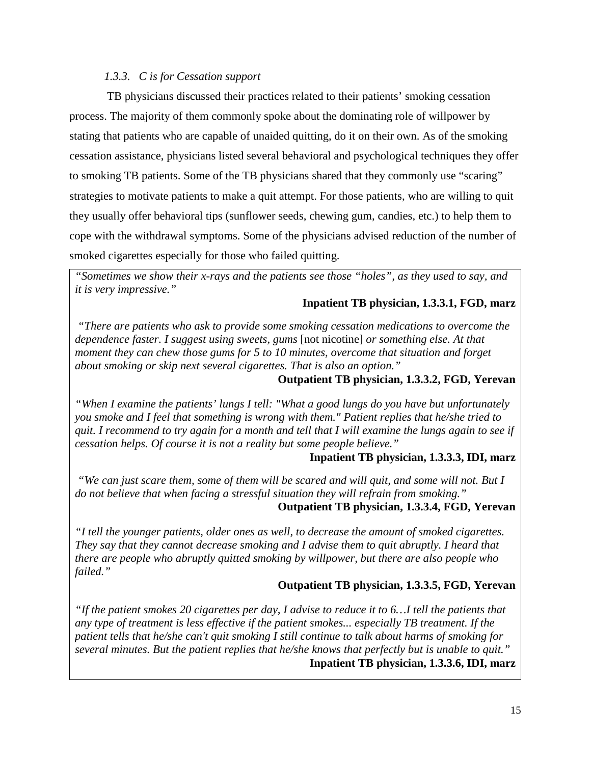### *1.3.3. C is for Cessation support*

TB physicians discussed their practices related to their patients' smoking cessation process. The majority of them commonly spoke about the dominating role of willpower by stating that patients who are capable of unaided quitting, do it on their own. As of the smoking cessation assistance, physicians listed several behavioral and psychological techniques they offer to smoking TB patients. Some of the TB physicians shared that they commonly use "scaring" strategies to motivate patients to make a quit attempt. For those patients, who are willing to quit they usually offer behavioral tips (sunflower seeds, chewing gum, candies, etc.) to help them to cope with the withdrawal symptoms. Some of the physicians advised reduction of the number of smoked cigarettes especially for those who failed quitting.

*"Sometimes we show their x-rays and the patients see those "holes", as they used to say, and it is very impressive."*

### **Inpatient TB physician, 1.3.3.1, FGD, marz**

*"There are patients who ask to provide some smoking cessation medications to overcome the dependence faster. I suggest using sweets, gums* [not nicotine] *or something else. At that moment they can chew those gums for 5 to 10 minutes, overcome that situation and forget about smoking or skip next several cigarettes. That is also an option."*

# **Outpatient TB physician, 1.3.3.2, FGD, Yerevan**

*"When I examine the patients' lungs I tell: "What a good lungs do you have but unfortunately you smoke and I feel that something is wrong with them." Patient replies that he/she tried to quit. I recommend to try again for a month and tell that I will examine the lungs again to see if cessation helps. Of course it is not a reality but some people believe."*

#### **Inpatient TB physician, 1.3.3.3, IDI, marz**

*"We can just scare them, some of them will be scared and will quit, and some will not. But I do not believe that when facing a stressful situation they will refrain from smoking."*

# **Outpatient TB physician, 1.3.3.4, FGD, Yerevan**

*"I tell the younger patients, older ones as well, to decrease the amount of smoked cigarettes. They say that they cannot decrease smoking and I advise them to quit abruptly. I heard that there are people who abruptly quitted smoking by willpower, but there are also people who failed."*

#### **Outpatient TB physician, 1.3.3.5, FGD, Yerevan**

*"If the patient smokes 20 cigarettes per day, I advise to reduce it to 6…I tell the patients that any type of treatment is less effective if the patient smokes... especially TB treatment. If the patient tells that he/she can't quit smoking I still continue to talk about harms of smoking for several minutes. But the patient replies that he/she knows that perfectly but is unable to quit."* **Inpatient TB physician, 1.3.3.6, IDI, marz**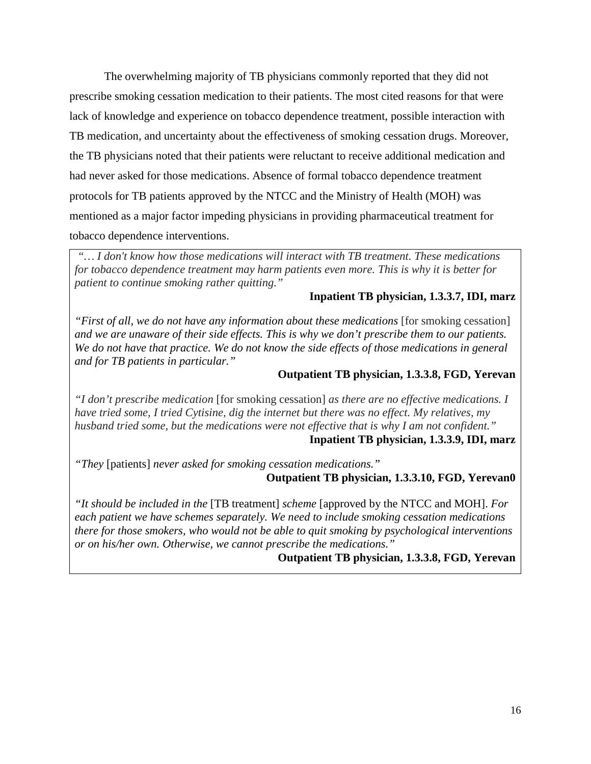The overwhelming majority of TB physicians commonly reported that they did not prescribe smoking cessation medication to their patients. The most cited reasons for that were lack of knowledge and experience on tobacco dependence treatment, possible interaction with TB medication, and uncertainty about the effectiveness of smoking cessation drugs. Moreover, the TB physicians noted that their patients were reluctant to receive additional medication and had never asked for those medications. Absence of formal tobacco dependence treatment protocols for TB patients approved by the NTCC and the Ministry of Health (MOH) was mentioned as a major factor impeding physicians in providing pharmaceutical treatment for tobacco dependence interventions.

*"… I don't know how those medications will interact with TB treatment. These medications for tobacco dependence treatment may harm patients even more. This is why it is better for patient to continue smoking rather quitting."* 

### **Inpatient TB physician, 1.3.3.7, IDI, marz**

*"First of all, we do not have any information about these medications* [for smoking cessation] *and we are unaware of their side effects. This is why we don't prescribe them to our patients. We do not have that practice. We do not know the side effects of those medications in general and for TB patients in particular."*

### **Outpatient TB physician, 1.3.3.8, FGD, Yerevan**

*"I don't prescribe medication* [for smoking cessation] *as there are no effective medications. I have tried some, I tried Cytisine, dig the internet but there was no effect. My relatives, my husband tried some, but the medications were not effective that is why I am not confident."* **Inpatient TB physician, 1.3.3.9, IDI, marz**

*"They* [patients] *never asked for smoking cessation medications."*

# **Outpatient TB physician, 1.3.3.10, FGD, Yerevan0**

<span id="page-22-0"></span>*"It should be included in the* [TB treatment] *scheme* [approved by the NTCC and MOH]. *For each patient we have schemes separately. We need to include smoking cessation medications there for those smokers, who would not be able to quit smoking by psychological interventions or on his/her own. Otherwise, we cannot prescribe the medications."*

# **Outpatient TB physician, 1.3.3.8, FGD, Yerevan**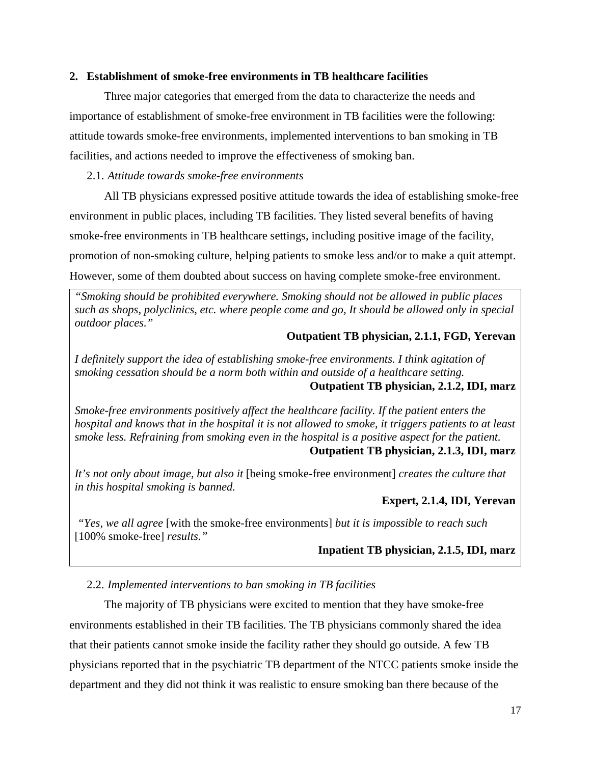#### **2. Establishment of smoke-free environments in TB healthcare facilities**

Three major categories that emerged from the data to characterize the needs and importance of establishment of smoke-free environment in TB facilities were the following: attitude towards smoke-free environments, implemented interventions to ban smoking in TB facilities, and actions needed to improve the effectiveness of smoking ban.

#### <span id="page-23-0"></span>2.1. *Attitude towards smoke-free environments*

All TB physicians expressed positive attitude towards the idea of establishing smoke-free environment in public places, including TB facilities. They listed several benefits of having smoke-free environments in TB healthcare settings, including positive image of the facility, promotion of non-smoking culture, helping patients to smoke less and/or to make a quit attempt. However, some of them doubted about success on having complete smoke-free environment.

*"Smoking should be prohibited everywhere. Smoking should not be allowed in public places such as shops, polyclinics, etc. where people come and go, It should be allowed only in special outdoor places."*

#### **Outpatient TB physician, 2.1.1, FGD, Yerevan**

*I definitely support the idea of establishing smoke-free environments. I think agitation of smoking cessation should be a norm both within and outside of a healthcare setting.*  **Outpatient TB physician, 2.1.2, IDI, marz**

*Smoke-free environments positively affect the healthcare facility. If the patient enters the hospital and knows that in the hospital it is not allowed to smoke, it triggers patients to at least smoke less. Refraining from smoking even in the hospital is a positive aspect for the patient.*  **Outpatient TB physician, 2.1.3, IDI, marz**

*It's not only about image, but also it* [being smoke-free environment] *creates the culture that in this hospital smoking is banned.* 

#### **Expert, 2.1.4, IDI, Yerevan**

*"Yes, we all agree* [with the smoke-free environments] *but it is impossible to reach such* [100% smoke-free] *results."*

#### **Inpatient TB physician, 2.1.5, IDI, marz**

#### <span id="page-23-1"></span>2.2. *Implemented interventions to ban smoking in TB facilities*

The majority of TB physicians were excited to mention that they have smoke-free environments established in their TB facilities. The TB physicians commonly shared the idea that their patients cannot smoke inside the facility rather they should go outside. A few TB physicians reported that in the psychiatric TB department of the NTCC patients smoke inside the department and they did not think it was realistic to ensure smoking ban there because of the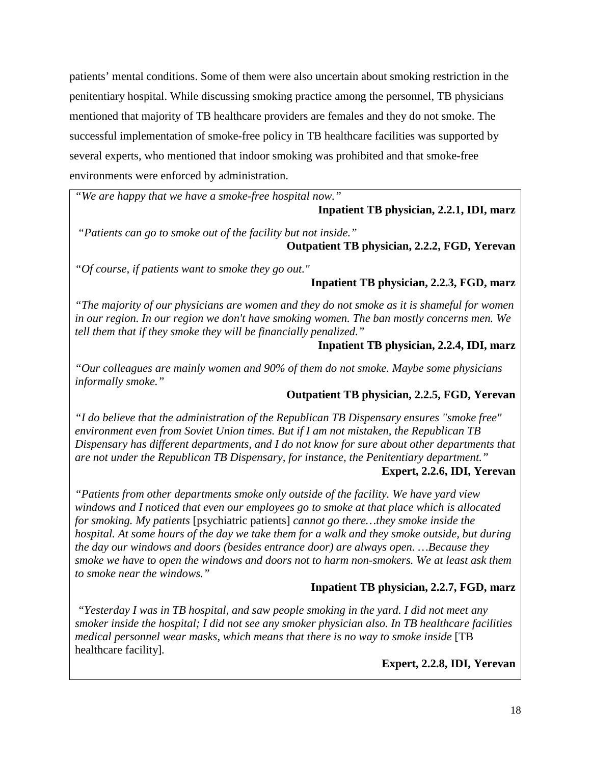patients' mental conditions. Some of them were also uncertain about smoking restriction in the penitentiary hospital. While discussing smoking practice among the personnel, TB physicians mentioned that majority of TB healthcare providers are females and they do not smoke. The successful implementation of smoke-free policy in TB healthcare facilities was supported by several experts, who mentioned that indoor smoking was prohibited and that smoke-free environments were enforced by administration.

*"We are happy that we have a smoke-free hospital now."*

### **Inpatient TB physician, 2.2.1, IDI, marz**

*"Patients can go to smoke out of the facility but not inside."*

**Outpatient TB physician, 2.2.2, FGD, Yerevan**

*"Of course, if patients want to smoke they go out."*

# **Inpatient TB physician, 2.2.3, FGD, marz**

*"The majority of our physicians are women and they do not smoke as it is shameful for women in our region. In our region we don't have smoking women. The ban mostly concerns men. We tell them that if they smoke they will be financially penalized."*

# **Inpatient TB physician, 2.2.4, IDI, marz**

*"Our colleagues are mainly women and 90% of them do not smoke. Maybe some physicians informally smoke."*

# **Outpatient TB physician, 2.2.5, FGD, Yerevan**

*"I do believe that the administration of the Republican TB Dispensary ensures "smoke free" environment even from Soviet Union times. But if I am not mistaken, the Republican TB Dispensary has different departments, and I do not know for sure about other departments that are not under the Republican TB Dispensary, for instance, the Penitentiary department."*

# **Expert, 2.2.6, IDI, Yerevan**

*"Patients from other departments smoke only outside of the facility. We have yard view windows and I noticed that even our employees go to smoke at that place which is allocated for smoking. My patients* [psychiatric patients] *cannot go there…they smoke inside the hospital. At some hours of the day we take them for a walk and they smoke outside, but during the day our windows and doors (besides entrance door) are always open. …Because they smoke we have to open the windows and doors not to harm non-smokers. We at least ask them to smoke near the windows."*

# **Inpatient TB physician, 2.2.7, FGD, marz**

*"Yesterday I was in TB hospital, and saw people smoking in the yard. I did not meet any smoker inside the hospital; I did not see any smoker physician also. In TB healthcare facilities medical personnel wear masks, which means that there is no way to smoke inside* [TB healthcare facility]*.* 

**Expert, 2.2.8, IDI, Yerevan**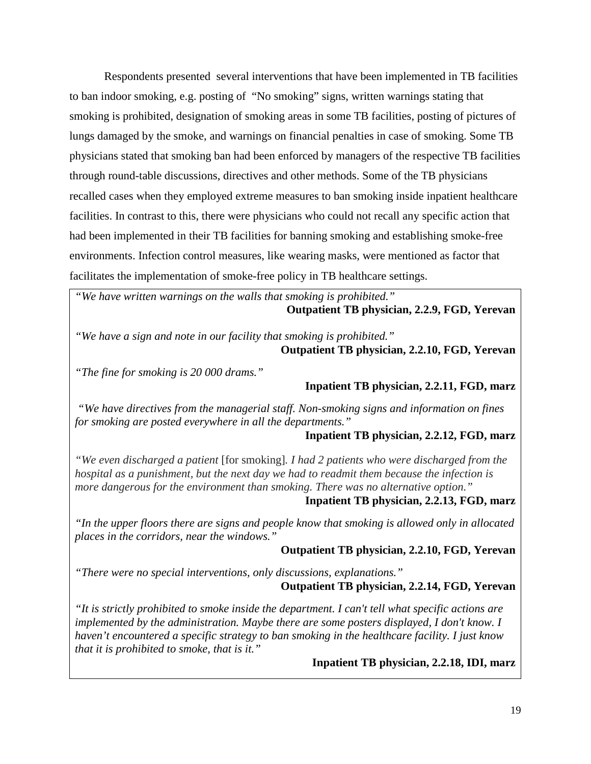Respondents presented several interventions that have been implemented in TB facilities to ban indoor smoking, e.g. posting of "No smoking" signs, written warnings stating that smoking is prohibited, designation of smoking areas in some TB facilities, posting of pictures of lungs damaged by the smoke, and warnings on financial penalties in case of smoking. Some TB physicians stated that smoking ban had been enforced by managers of the respective TB facilities through round-table discussions, directives and other methods. Some of the TB physicians recalled cases when they employed extreme measures to ban smoking inside inpatient healthcare facilities. In contrast to this, there were physicians who could not recall any specific action that had been implemented in their TB facilities for banning smoking and establishing smoke-free environments. Infection control measures, like wearing masks, were mentioned as factor that facilitates the implementation of smoke-free policy in TB healthcare settings.

*"We have written warnings on the walls that smoking is prohibited."* **Outpatient TB physician, 2.2.9, FGD, Yerevan**

*"We have a sign and note in our facility that smoking is prohibited."* **Outpatient TB physician, 2.2.10, FGD, Yerevan**

*"The fine for smoking is 20 000 drams."*

**Inpatient TB physician, 2.2.11, FGD, marz**

*"We have directives from the managerial staff. Non-smoking signs and information on fines for smoking are posted everywhere in all the departments."*

**Inpatient TB physician, 2.2.12, FGD, marz**

*"We even discharged a patient* [for smoking]*. I had 2 patients who were discharged from the hospital as a punishment, but the next day we had to readmit them because the infection is more dangerous for the environment than smoking. There was no alternative option."*

#### **Inpatient TB physician, 2.2.13, FGD, marz**

*"In the upper floors there are signs and people know that smoking is allowed only in allocated places in the corridors, near the windows."*

# **Outpatient TB physician, 2.2.10, FGD, Yerevan**

*"There were no special interventions, only discussions, explanations."*

#### **Outpatient TB physician, 2.2.14, FGD, Yerevan**

*"It is strictly prohibited to smoke inside the department. I can't tell what specific actions are implemented by the administration. Maybe there are some posters displayed, I don't know. I haven't encountered a specific strategy to ban smoking in the healthcare facility. I just know that it is prohibited to smoke, that is it."*

**Inpatient TB physician, 2.2.18, IDI, marz**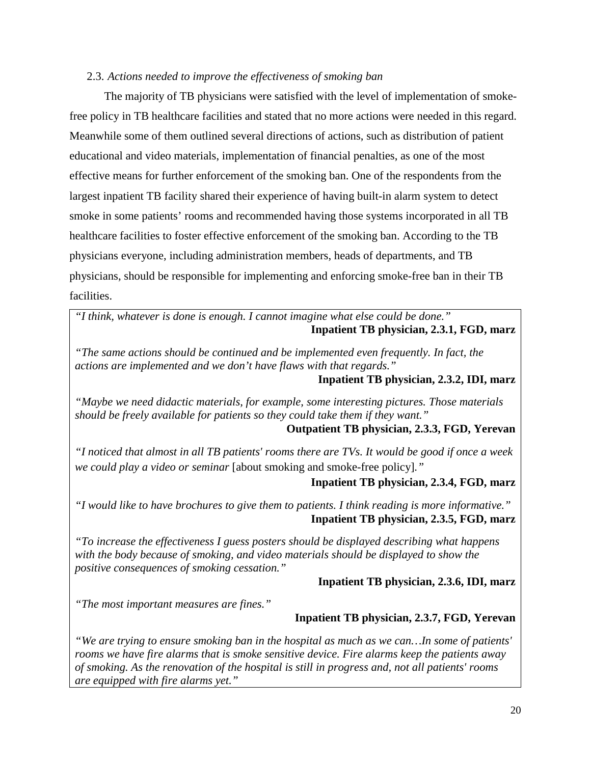#### <span id="page-26-0"></span>2.3. *Actions needed to improve the effectiveness of smoking ban*

The majority of TB physicians were satisfied with the level of implementation of smokefree policy in TB healthcare facilities and stated that no more actions were needed in this regard. Meanwhile some of them outlined several directions of actions, such as distribution of patient educational and video materials, implementation of financial penalties, as one of the most effective means for further enforcement of the smoking ban. One of the respondents from the largest inpatient TB facility shared their experience of having built-in alarm system to detect smoke in some patients' rooms and recommended having those systems incorporated in all TB healthcare facilities to foster effective enforcement of the smoking ban. According to the TB physicians everyone, including administration members, heads of departments, and TB physicians, should be responsible for implementing and enforcing smoke-free ban in their TB facilities.

*"I think, whatever is done is enough. I cannot imagine what else could be done."* **Inpatient TB physician, 2.3.1, FGD, marz**

*"The same actions should be continued and be implemented even frequently. In fact, the actions are implemented and we don't have flaws with that regards."*

**Inpatient TB physician, 2.3.2, IDI, marz**

*"Maybe we need didactic materials, for example, some interesting pictures. Those materials should be freely available for patients so they could take them if they want."*

#### **Outpatient TB physician, 2.3.3, FGD, Yerevan**

*"I noticed that almost in all TB patients' rooms there are TVs. It would be good if once a week we could play a video or seminar* [about smoking and smoke-free policy]*."*

#### **Inpatient TB physician, 2.3.4, FGD, marz**

*"I would like to have brochures to give them to patients. I think reading is more informative."* **Inpatient TB physician, 2.3.5, FGD, marz**

*"To increase the effectiveness I guess posters should be displayed describing what happens with the body because of smoking, and video materials should be displayed to show the positive consequences of smoking cessation."*

#### **Inpatient TB physician, 2.3.6, IDI, marz**

*"The most important measures are fines."*

#### **Inpatient TB physician, 2.3.7, FGD, Yerevan**

*"We are trying to ensure smoking ban in the hospital as much as we can…In some of patients' rooms we have fire alarms that is smoke sensitive device. Fire alarms keep the patients away of smoking. As the renovation of the hospital is still in progress and, not all patients' rooms are equipped with fire alarms yet."*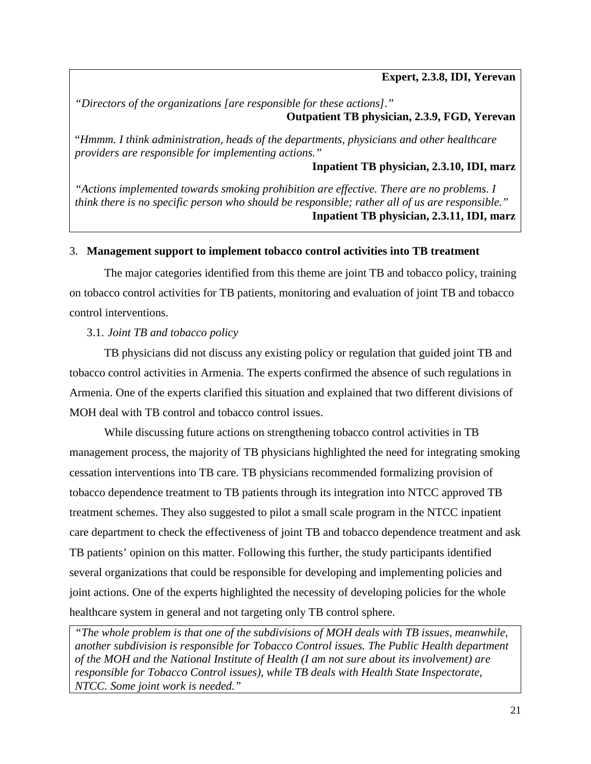**Expert, 2.3.8, IDI, Yerevan**

*"Directors of the organizations [are responsible for these actions]."* **Outpatient TB physician, 2.3.9, FGD, Yerevan**

"*Hmmm. I think administration, heads of the departments, physicians and other healthcare providers are responsible for implementing actions."*

**Inpatient TB physician, 2.3.10, IDI, marz**

*"Actions implemented towards smoking prohibition are effective. There are no problems. I think there is no specific person who should be responsible; rather all of us are responsible."* **Inpatient TB physician, 2.3.11, IDI, marz**

#### <span id="page-27-0"></span>3. **Management support to implement tobacco control activities into TB treatment**

The major categories identified from this theme are joint TB and tobacco policy, training on tobacco control activities for TB patients, monitoring and evaluation of joint TB and tobacco control interventions.

#### <span id="page-27-1"></span>3.1. *Joint TB and tobacco policy*

TB physicians did not discuss any existing policy or regulation that guided joint TB and tobacco control activities in Armenia. The experts confirmed the absence of such regulations in Armenia. One of the experts clarified this situation and explained that two different divisions of MOH deal with TB control and tobacco control issues.

While discussing future actions on strengthening tobacco control activities in TB management process, the majority of TB physicians highlighted the need for integrating smoking cessation interventions into TB care. TB physicians recommended formalizing provision of tobacco dependence treatment to TB patients through its integration into NTCC approved TB treatment schemes. They also suggested to pilot a small scale program in the NTCC inpatient care department to check the effectiveness of joint TB and tobacco dependence treatment and ask TB patients' opinion on this matter. Following this further, the study participants identified several organizations that could be responsible for developing and implementing policies and joint actions. One of the experts highlighted the necessity of developing policies for the whole healthcare system in general and not targeting only TB control sphere.

*"The whole problem is that one of the subdivisions of MOH deals with TB issues, meanwhile, another subdivision is responsible for Tobacco Control issues. The Public Health department of the MOH and the National Institute of Health (I am not sure about its involvement) are responsible for Tobacco Control issues), while TB deals with Health State Inspectorate, NTCC. Some joint work is needed."*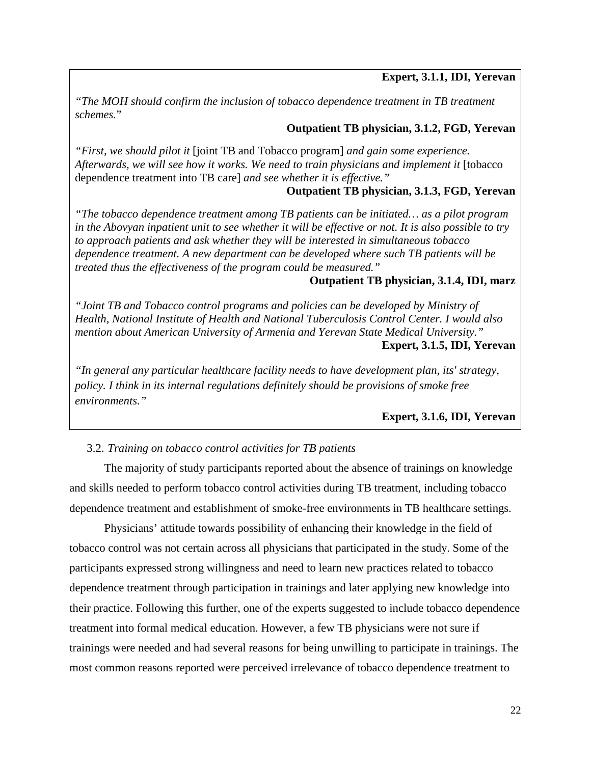# **Expert, 3.1.1, IDI, Yerevan**

*"The MOH should confirm the inclusion of tobacco dependence treatment in TB treatment schemes.*"

#### **Outpatient TB physician, 3.1.2, FGD, Yerevan**

*"First, we should pilot it* [joint TB and Tobacco program] *and gain some experience. Afterwards, we will see how it works. We need to train physicians and implement it* [tobacco dependence treatment into TB care] *and see whether it is effective."*

# **Outpatient TB physician, 3.1.3, FGD, Yerevan**

*"The tobacco dependence treatment among TB patients can be initiated… as a pilot program in the Abovyan inpatient unit to see whether it will be effective or not. It is also possible to try to approach patients and ask whether they will be interested in simultaneous tobacco dependence treatment. A new department can be developed where such TB patients will be treated thus the effectiveness of the program could be measured."*

### **Outpatient TB physician, 3.1.4, IDI, marz**

*"Joint TB and Tobacco control programs and policies can be developed by Ministry of Health, National Institute of Health and National Tuberculosis Control Center. I would also mention about American University of Armenia and Yerevan State Medical University."* **Expert, 3.1.5, IDI, Yerevan**

*"In general any particular healthcare facility needs to have development plan, its' strategy, policy. I think in its internal regulations definitely should be provisions of smoke free environments."*

# **Expert, 3.1.6, IDI, Yerevan**

# <span id="page-28-0"></span>3.2. *Training on tobacco control activities for TB patients*

The majority of study participants reported about the absence of trainings on knowledge and skills needed to perform tobacco control activities during TB treatment, including tobacco dependence treatment and establishment of smoke-free environments in TB healthcare settings.

Physicians' attitude towards possibility of enhancing their knowledge in the field of tobacco control was not certain across all physicians that participated in the study. Some of the participants expressed strong willingness and need to learn new practices related to tobacco dependence treatment through participation in trainings and later applying new knowledge into their practice. Following this further, one of the experts suggested to include tobacco dependence treatment into formal medical education. However, a few TB physicians were not sure if trainings were needed and had several reasons for being unwilling to participate in trainings. The most common reasons reported were perceived irrelevance of tobacco dependence treatment to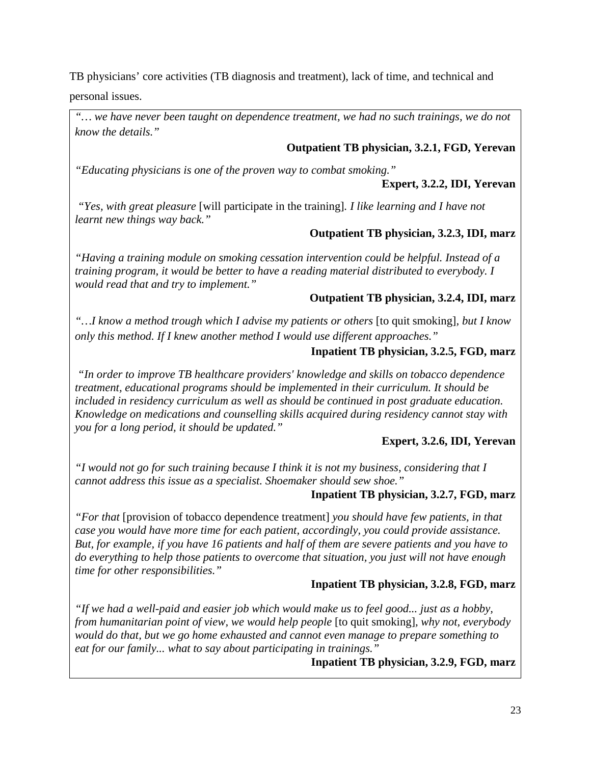TB physicians' core activities (TB diagnosis and treatment), lack of time, and technical and personal issues.

*"… we have never been taught on dependence treatment, we had no such trainings, we do not know the details."*

# **Outpatient TB physician, 3.2.1, FGD, Yerevan**

*"Educating physicians is one of the proven way to combat smoking."*

# **Expert, 3.2.2, IDI, Yerevan**

*"Yes, with great pleasure* [will participate in the training]*. I like learning and I have not learnt new things way back."*

# **Outpatient TB physician, 3.2.3, IDI, marz**

*"Having a training module on smoking cessation intervention could be helpful. Instead of a training program, it would be better to have a reading material distributed to everybody. I would read that and try to implement."*

# **Outpatient TB physician, 3.2.4, IDI, marz**

*"…I know a method trough which I advise my patients or others* [to quit smoking]*, but I know only this method. If I knew another method I would use different approaches."*

# **Inpatient TB physician, 3.2.5, FGD, marz**

*"In order to improve TB healthcare providers' knowledge and skills on tobacco dependence treatment, educational programs should be implemented in their curriculum. It should be included in residency curriculum as well as should be continued in post graduate education. Knowledge on medications and counselling skills acquired during residency cannot stay with you for a long period, it should be updated."*

# **Expert, 3.2.6, IDI, Yerevan**

*"I would not go for such training because I think it is not my business, considering that I cannot address this issue as a specialist. Shoemaker should sew shoe."*

# **Inpatient TB physician, 3.2.7, FGD, marz**

*"For that* [provision of tobacco dependence treatment] *you should have few patients, in that case you would have more time for each patient, accordingly, you could provide assistance. But, for example, if you have 16 patients and half of them are severe patients and you have to do everything to help those patients to overcome that situation, you just will not have enough time for other responsibilities."*

# **Inpatient TB physician, 3.2.8, FGD, marz**

*"If we had a well-paid and easier job which would make us to feel good... just as a hobby, from humanitarian point of view, we would help people* [to quit smoking]*, why not, everybody would do that, but we go home exhausted and cannot even manage to prepare something to eat for our family... what to say about participating in trainings."*

**Inpatient TB physician, 3.2.9, FGD, marz**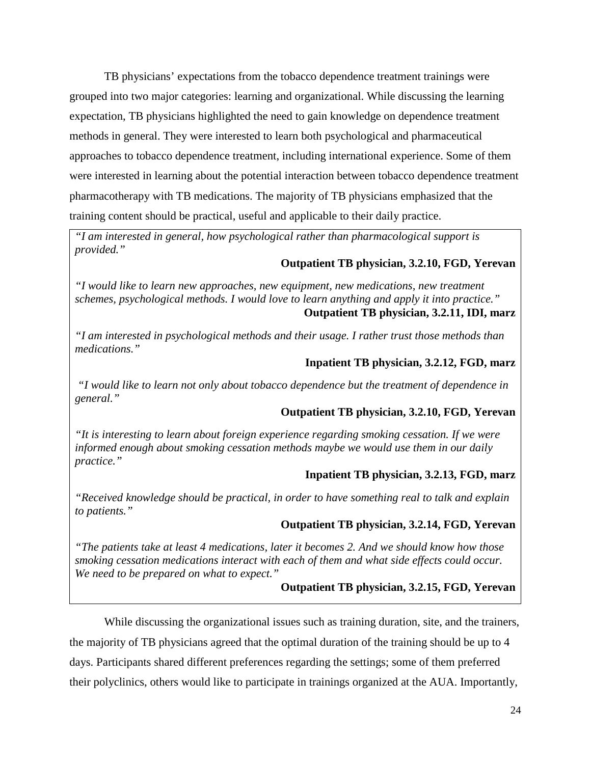TB physicians' expectations from the tobacco dependence treatment trainings were grouped into two major categories: learning and organizational. While discussing the learning expectation, TB physicians highlighted the need to gain knowledge on dependence treatment methods in general. They were interested to learn both psychological and pharmaceutical approaches to tobacco dependence treatment, including international experience. Some of them were interested in learning about the potential interaction between tobacco dependence treatment pharmacotherapy with TB medications. The majority of TB physicians emphasized that the training content should be practical, useful and applicable to their daily practice.

*"I am interested in general, how psychological rather than pharmacological support is provided."*

# **Outpatient TB physician, 3.2.10, FGD, Yerevan**

*"I would like to learn new approaches, new equipment, new medications, new treatment schemes, psychological methods. I would love to learn anything and apply it into practice."* **Outpatient TB physician, 3.2.11, IDI, marz**

*"I am interested in psychological methods and their usage. I rather trust those methods than medications."*

# **Inpatient TB physician, 3.2.12, FGD, marz**

*"I would like to learn not only about tobacco dependence but the treatment of dependence in general."*

# **Outpatient TB physician, 3.2.10, FGD, Yerevan**

*"It is interesting to learn about foreign experience regarding smoking cessation. If we were informed enough about smoking cessation methods maybe we would use them in our daily practice."*

# **Inpatient TB physician, 3.2.13, FGD, marz**

*"Received knowledge should be practical, in order to have something real to talk and explain to patients."*

# **Outpatient TB physician, 3.2.14, FGD, Yerevan**

*"The patients take at least 4 medications, later it becomes 2. And we should know how those smoking cessation medications interact with each of them and what side effects could occur. We need to be prepared on what to expect."*

# **Outpatient TB physician, 3.2.15, FGD, Yerevan**

While discussing the organizational issues such as training duration, site, and the trainers, the majority of TB physicians agreed that the optimal duration of the training should be up to 4 days. Participants shared different preferences regarding the settings; some of them preferred their polyclinics, others would like to participate in trainings organized at the AUA. Importantly,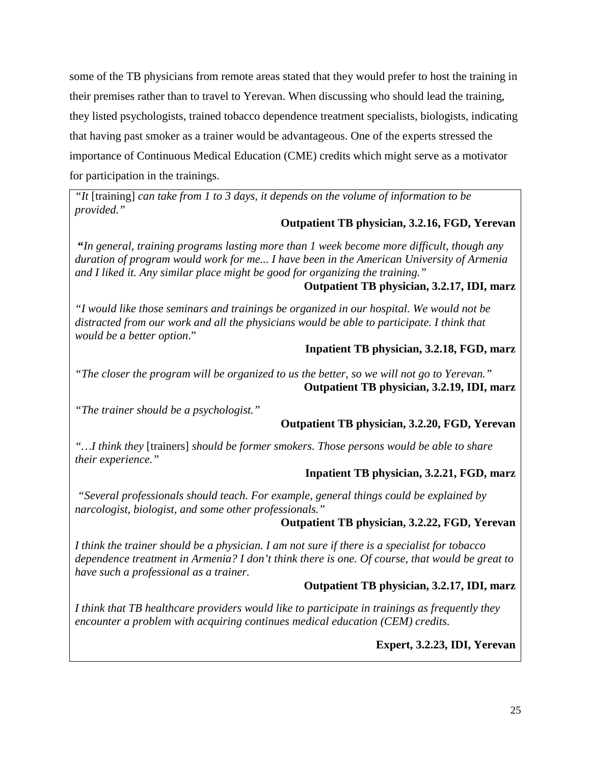some of the TB physicians from remote areas stated that they would prefer to host the training in their premises rather than to travel to Yerevan. When discussing who should lead the training, they listed psychologists, trained tobacco dependence treatment specialists, biologists, indicating that having past smoker as a trainer would be advantageous. One of the experts stressed the importance of Continuous Medical Education (CME) credits which might serve as a motivator for participation in the trainings.

*"It* [training] *can take from 1 to 3 days, it depends on the volume of information to be provided."*

# **Outpatient TB physician, 3.2.16, FGD, Yerevan**

**"***In general, training programs lasting more than 1 week become more difficult, though any duration of program would work for me... I have been in the American University of Armenia and I liked it. Any similar place might be good for organizing the training."*

# **Outpatient TB physician, 3.2.17, IDI, marz**

*"I would like those seminars and trainings be organized in our hospital. We would not be distracted from our work and all the physicians would be able to participate. I think that would be a better option*."

# **Inpatient TB physician, 3.2.18, FGD, marz**

*"The closer the program will be organized to us the better, so we will not go to Yerevan."* **Outpatient TB physician, 3.2.19, IDI, marz**

*"The trainer should be a psychologist."*

# **Outpatient TB physician, 3.2.20, FGD, Yerevan**

*"…I think they* [trainers] *should be former smokers. Those persons would be able to share their experience."*

# **Inpatient TB physician, 3.2.21, FGD, marz**

*"Several professionals should teach. For example, general things could be explained by narcologist, biologist, and some other professionals."*

# **Outpatient TB physician, 3.2.22, FGD, Yerevan**

*I think the trainer should be a physician. I am not sure if there is a specialist for tobacco dependence treatment in Armenia? I don't think there is one. Of course, that would be great to have such a professional as a trainer.* 

# **Outpatient TB physician, 3.2.17, IDI, marz**

<span id="page-31-0"></span>*I think that TB healthcare providers would like to participate in trainings as frequently they encounter a problem with acquiring continues medical education (CEM) credits.*

# **Expert, 3.2.23, IDI, Yerevan**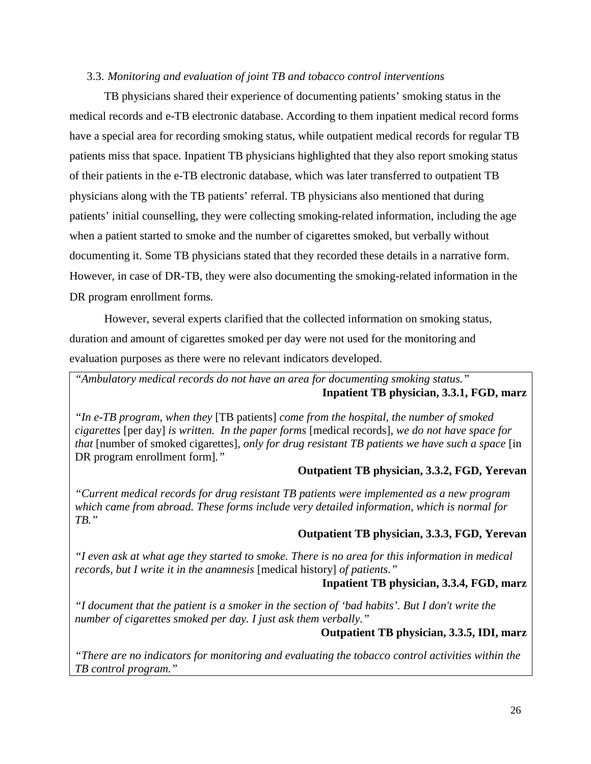#### 3.3. *Monitoring and evaluation of joint TB and tobacco control interventions*

TB physicians shared their experience of documenting patients' smoking status in the medical records and e-TB electronic database. According to them inpatient medical record forms have a special area for recording smoking status, while outpatient medical records for regular TB patients miss that space. Inpatient TB physicians highlighted that they also report smoking status of their patients in the e-TB electronic database, which was later transferred to outpatient TB physicians along with the TB patients' referral. TB physicians also mentioned that during patients' initial counselling, they were collecting smoking-related information, including the age when a patient started to smoke and the number of cigarettes smoked, but verbally without documenting it. Some TB physicians stated that they recorded these details in a narrative form. However, in case of DR-TB, they were also documenting the smoking-related information in the DR program enrollment forms.

However, several experts clarified that the collected information on smoking status, duration and amount of cigarettes smoked per day were not used for the monitoring and evaluation purposes as there were no relevant indicators developed.

*"Ambulatory medical records do not have an area for documenting smoking status."* **Inpatient TB physician, 3.3.1, FGD, marz**

*"In e-TB program, when they* [TB patients] *come from the hospital, the number of smoked cigarettes* [per day] *is written. In the paper forms* [medical records]*, we do not have space for that* [number of smoked cigarettes]*, only for drug resistant TB patients we have such a space* [in DR program enrollment form]*."*

#### **Outpatient TB physician, 3.3.2, FGD, Yerevan**

*"Current medical records for drug resistant TB patients were implemented as a new program which came from abroad. These forms include very detailed information, which is normal for TB."*

#### **Outpatient TB physician, 3.3.3, FGD, Yerevan**

*"I even ask at what age they started to smoke. There is no area for this information in medical records, but I write it in the anamnesis* [medical history] *of patients."*

#### **Inpatient TB physician, 3.3.4, FGD, marz**

*"I document that the patient is a smoker in the section of 'bad habits'. But I don't write the number of cigarettes smoked per day. I just ask them verbally."*

#### **Outpatient TB physician, 3.3.5, IDI, marz**

*"There are no indicators for monitoring and evaluating the tobacco control activities within the TB control program."*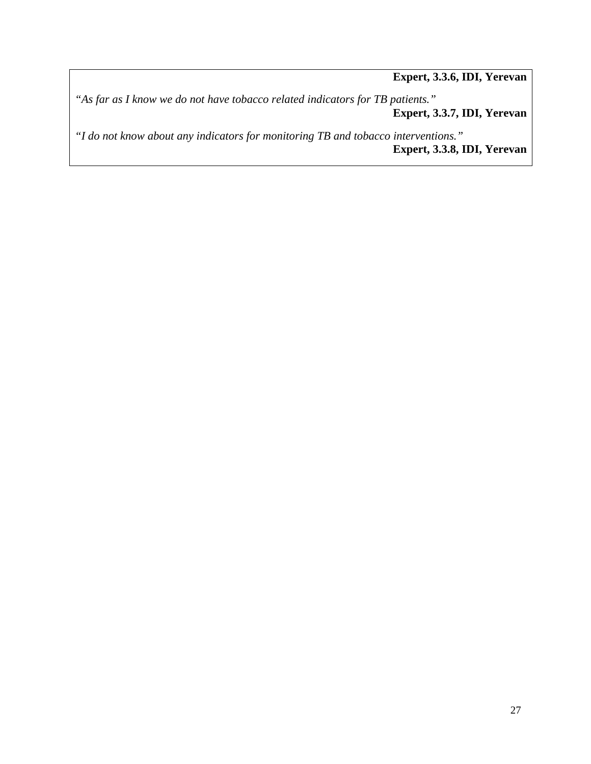**Expert, 3.3.6, IDI, Yerevan**

*"As far as I know we do not have tobacco related indicators for TB patients."* **Expert, 3.3.7, IDI, Yerevan**

*"I do not know about any indicators for monitoring TB and tobacco interventions."* **Expert, 3.3.8, IDI, Yerevan**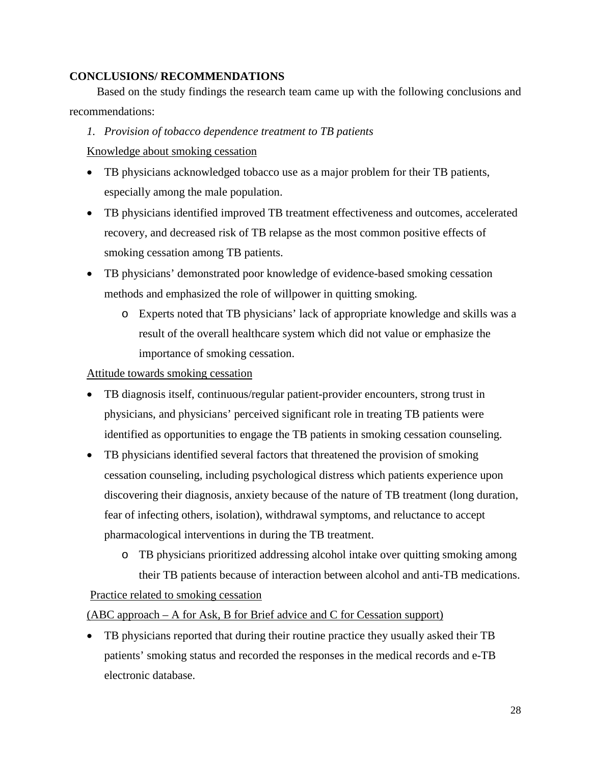# <span id="page-34-0"></span>**CONCLUSIONS/ RECOMMENDATIONS**

Based on the study findings the research team came up with the following conclusions and recommendations:

#### *1. Provision of tobacco dependence treatment to TB patients*

Knowledge about smoking cessation

- TB physicians acknowledged tobacco use as a major problem for their TB patients, especially among the male population.
- TB physicians identified improved TB treatment effectiveness and outcomes, accelerated recovery, and decreased risk of TB relapse as the most common positive effects of smoking cessation among TB patients.
- TB physicians' demonstrated poor knowledge of evidence-based smoking cessation methods and emphasized the role of willpower in quitting smoking.
	- o Experts noted that TB physicians' lack of appropriate knowledge and skills was a result of the overall healthcare system which did not value or emphasize the importance of smoking cessation.

### Attitude towards smoking cessation

- TB diagnosis itself, continuous/regular patient-provider encounters, strong trust in physicians, and physicians' perceived significant role in treating TB patients were identified as opportunities to engage the TB patients in smoking cessation counseling.
- TB physicians identified several factors that threatened the provision of smoking cessation counseling, including psychological distress which patients experience upon discovering their diagnosis, anxiety because of the nature of TB treatment (long duration, fear of infecting others, isolation), withdrawal symptoms, and reluctance to accept pharmacological interventions in during the TB treatment.
- o TB physicians prioritized addressing alcohol intake over quitting smoking among their TB patients because of interaction between alcohol and anti-TB medications. Practice related to smoking cessation

(ABC approach – A for Ask, B for Brief advice and C for Cessation support)

• TB physicians reported that during their routine practice they usually asked their TB patients' smoking status and recorded the responses in the medical records and e-TB electronic database.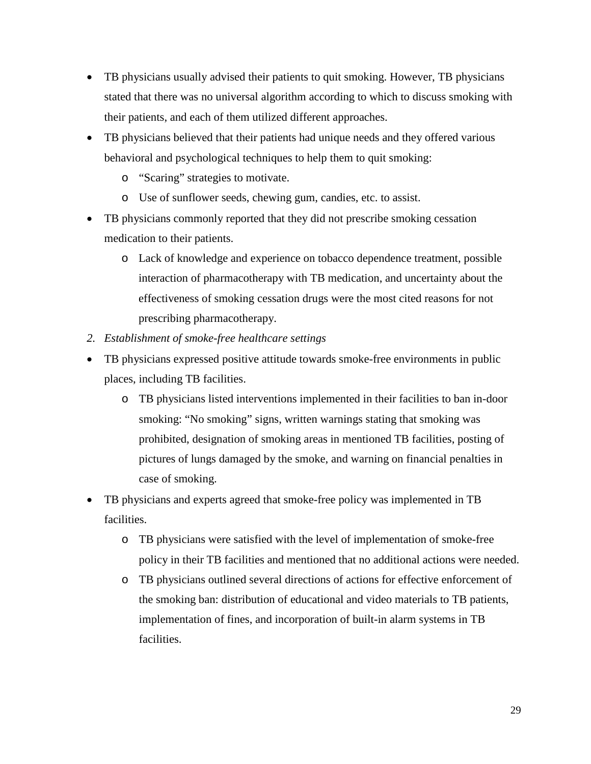- TB physicians usually advised their patients to quit smoking. However, TB physicians stated that there was no universal algorithm according to which to discuss smoking with their patients, and each of them utilized different approaches.
- TB physicians believed that their patients had unique needs and they offered various behavioral and psychological techniques to help them to quit smoking:
	- o "Scaring" strategies to motivate.
	- o Use of sunflower seeds, chewing gum, candies, etc. to assist.
- TB physicians commonly reported that they did not prescribe smoking cessation medication to their patients.
	- o Lack of knowledge and experience on tobacco dependence treatment, possible interaction of pharmacotherapy with TB medication, and uncertainty about the effectiveness of smoking cessation drugs were the most cited reasons for not prescribing pharmacotherapy.
- *2. Establishment of smoke-free healthcare settings*
- TB physicians expressed positive attitude towards smoke-free environments in public places, including TB facilities.
	- o TB physicians listed interventions implemented in their facilities to ban in-door smoking: "No smoking" signs, written warnings stating that smoking was prohibited, designation of smoking areas in mentioned TB facilities, posting of pictures of lungs damaged by the smoke, and warning on financial penalties in case of smoking.
- TB physicians and experts agreed that smoke-free policy was implemented in TB facilities.
	- o TB physicians were satisfied with the level of implementation of smoke-free policy in their TB facilities and mentioned that no additional actions were needed.
	- o TB physicians outlined several directions of actions for effective enforcement of the smoking ban: distribution of educational and video materials to TB patients, implementation of fines, and incorporation of built-in alarm systems in TB facilities.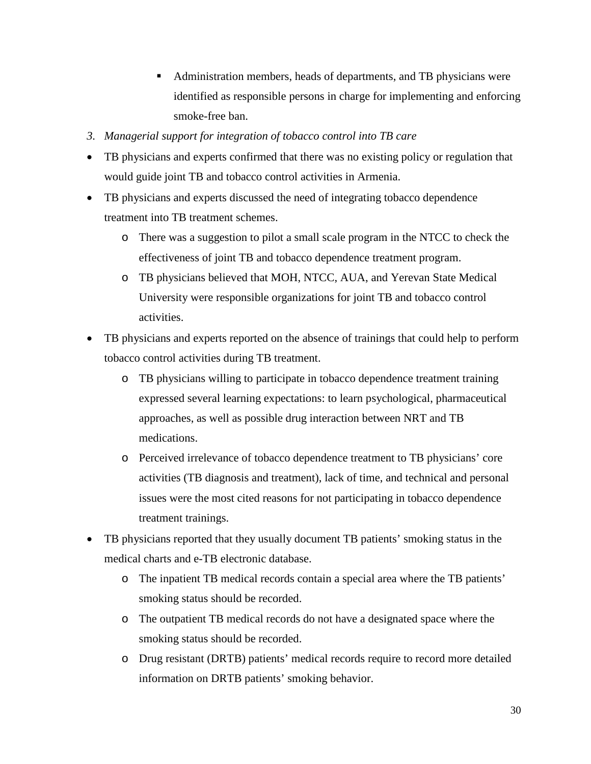- Administration members, heads of departments, and TB physicians were identified as responsible persons in charge for implementing and enforcing smoke-free ban.
- *3. Managerial support for integration of tobacco control into TB care*
- TB physicians and experts confirmed that there was no existing policy or regulation that would guide joint TB and tobacco control activities in Armenia.
- TB physicians and experts discussed the need of integrating tobacco dependence treatment into TB treatment schemes.
	- o There was a suggestion to pilot a small scale program in the NTCC to check the effectiveness of joint TB and tobacco dependence treatment program.
	- o TB physicians believed that MOH, NTCC, AUA, and Yerevan State Medical University were responsible organizations for joint TB and tobacco control activities.
- TB physicians and experts reported on the absence of trainings that could help to perform tobacco control activities during TB treatment.
	- o TB physicians willing to participate in tobacco dependence treatment training expressed several learning expectations: to learn psychological, pharmaceutical approaches, as well as possible drug interaction between NRT and TB medications.
	- o Perceived irrelevance of tobacco dependence treatment to TB physicians' core activities (TB diagnosis and treatment), lack of time, and technical and personal issues were the most cited reasons for not participating in tobacco dependence treatment trainings.
- TB physicians reported that they usually document TB patients' smoking status in the medical charts and e-TB electronic database.
	- o The inpatient TB medical records contain a special area where the TB patients' smoking status should be recorded.
	- o The outpatient TB medical records do not have a designated space where the smoking status should be recorded.
	- o Drug resistant (DRTB) patients' medical records require to record more detailed information on DRTB patients' smoking behavior.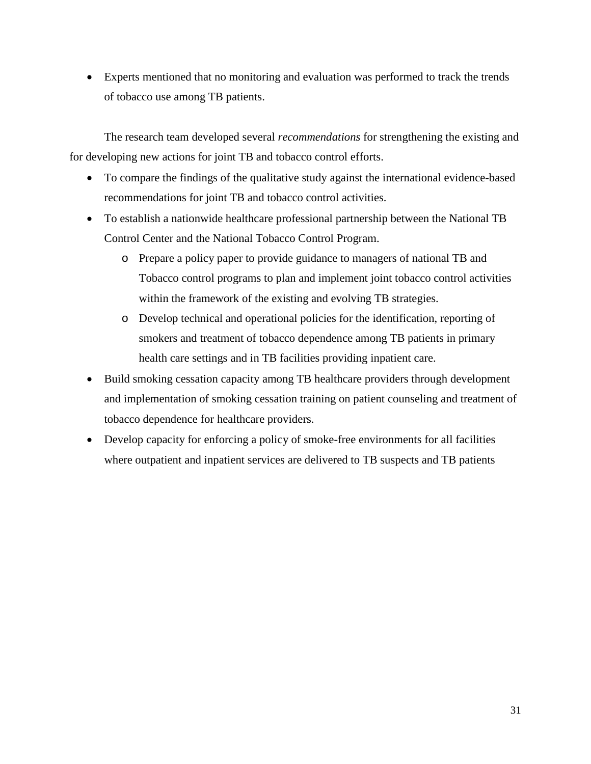• Experts mentioned that no monitoring and evaluation was performed to track the trends of tobacco use among TB patients.

The research team developed several *recommendations* for strengthening the existing and for developing new actions for joint TB and tobacco control efforts.

- To compare the findings of the qualitative study against the international evidence-based recommendations for joint TB and tobacco control activities.
- To establish a nationwide healthcare professional partnership between the National TB Control Center and the National Tobacco Control Program.
	- o Prepare a policy paper to provide guidance to managers of national TB and Tobacco control programs to plan and implement joint tobacco control activities within the framework of the existing and evolving TB strategies.
	- o Develop technical and operational policies for the identification, reporting of smokers and treatment of tobacco dependence among TB patients in primary health care settings and in TB facilities providing inpatient care.
- Build smoking cessation capacity among TB healthcare providers through development and implementation of smoking cessation training on patient counseling and treatment of tobacco dependence for healthcare providers.
- Develop capacity for enforcing a policy of smoke-free environments for all facilities where outpatient and inpatient services are delivered to TB suspects and TB patients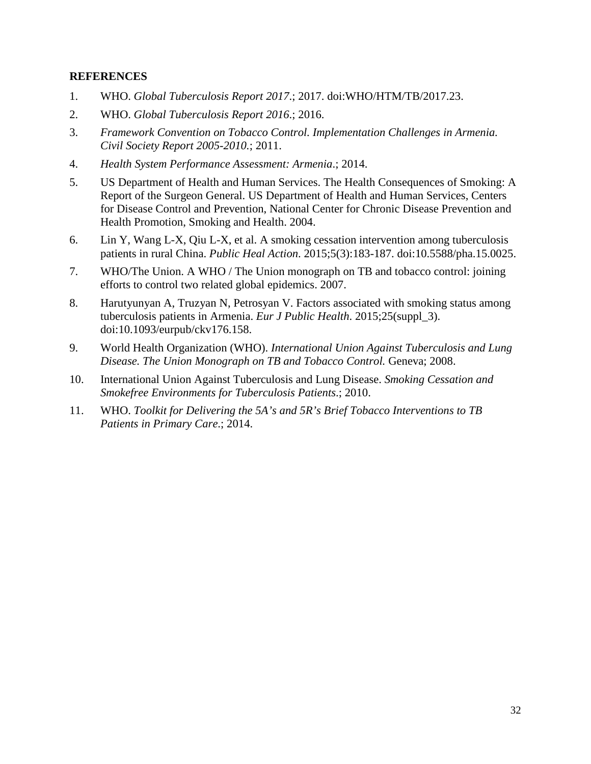### <span id="page-38-0"></span>**REFERENCES**

- 1. WHO. *Global Tuberculosis Report 2017*.; 2017. doi:WHO/HTM/TB/2017.23.
- 2. WHO. *Global Tuberculosis Report 2016*.; 2016.
- 3. *Framework Convention on Tobacco Control. Implementation Challenges in Armenia. Civil Society Report 2005-2010.*; 2011.
- 4. *Health System Performance Assessment: Armenia*.; 2014.
- 5. US Department of Health and Human Services. The Health Consequences of Smoking: A Report of the Surgeon General. US Department of Health and Human Services, Centers for Disease Control and Prevention, National Center for Chronic Disease Prevention and Health Promotion, Smoking and Health. 2004.
- 6. Lin Y, Wang L-X, Qiu L-X, et al. A smoking cessation intervention among tuberculosis patients in rural China. *Public Heal Action*. 2015;5(3):183-187. doi:10.5588/pha.15.0025.
- 7. WHO/The Union. A WHO / The Union monograph on TB and tobacco control: joining efforts to control two related global epidemics. 2007.
- 8. Harutyunyan A, Truzyan N, Petrosyan V. Factors associated with smoking status among tuberculosis patients in Armenia. *Eur J Public Health*. 2015;25(suppl\_3). doi:10.1093/eurpub/ckv176.158.
- 9. World Health Organization (WHO). *International Union Against Tuberculosis and Lung Disease. The Union Monograph on TB and Tobacco Control.* Geneva; 2008.
- 10. International Union Against Tuberculosis and Lung Disease. *Smoking Cessation and Smokefree Environments for Tuberculosis Patients*.; 2010.
- 11. WHO. *Toolkit for Delivering the 5A's and 5R's Brief Tobacco Interventions to TB Patients in Primary Care*.; 2014.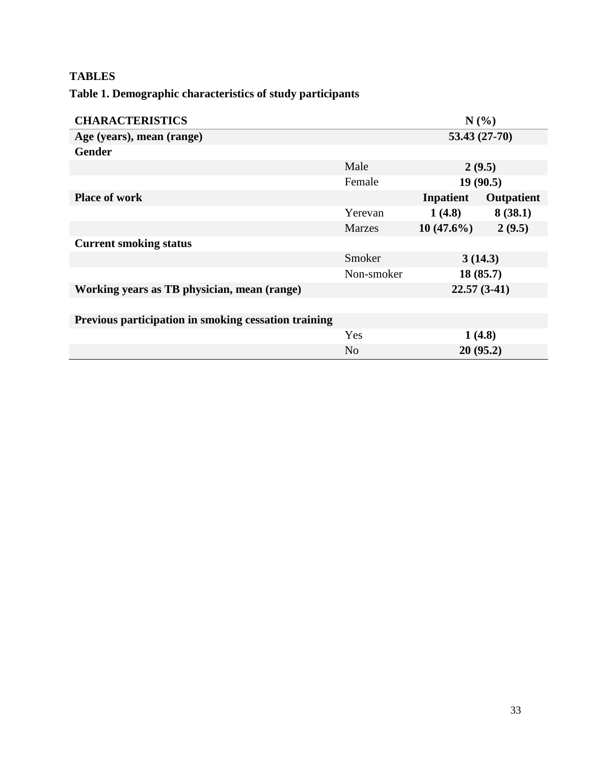# <span id="page-39-0"></span>**TABLES**

# <span id="page-39-1"></span>**Table 1. Demographic characteristics of study participants**

| <b>CHARACTERISTICS</b><br>N(%)                       |                |                |            |
|------------------------------------------------------|----------------|----------------|------------|
| Age (years), mean (range)                            |                | $53.43(27-70)$ |            |
| <b>Gender</b>                                        |                |                |            |
|                                                      | Male           | 2(9.5)         |            |
|                                                      | Female         | 19(90.5)       |            |
| <b>Place of work</b>                                 |                | Inpatient      | Outpatient |
|                                                      | Yerevan        | 1(4.8)         | 8(38.1)    |
|                                                      | <b>Marzes</b>  | $10(47.6\%)$   | 2(9.5)     |
| <b>Current smoking status</b>                        |                |                |            |
|                                                      | Smoker         |                | 3(14.3)    |
|                                                      | Non-smoker     |                | 18(85.7)   |
| Working years as TB physician, mean (range)          |                | $22.57(3-41)$  |            |
|                                                      |                |                |            |
| Previous participation in smoking cessation training |                |                |            |
|                                                      | Yes            | 1(4.8)         |            |
|                                                      | N <sub>o</sub> |                | 20(95.2)   |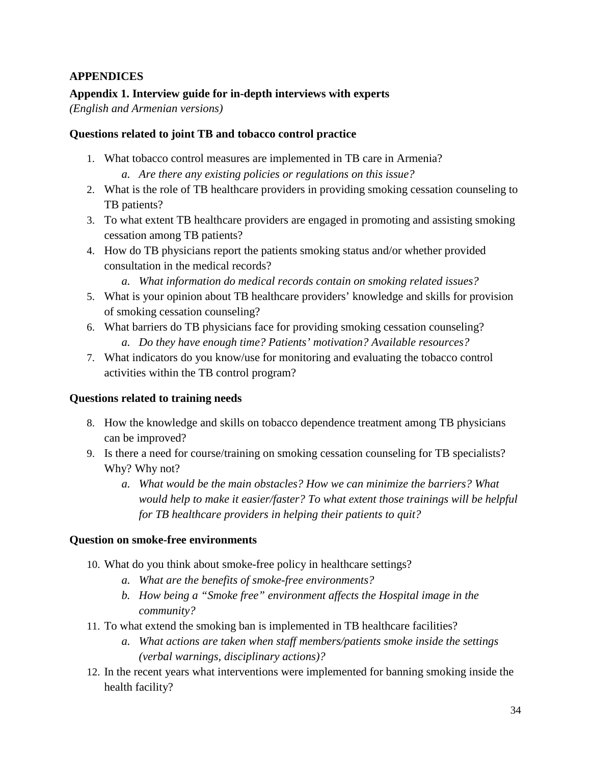# <span id="page-40-0"></span>**APPENDICES**

# <span id="page-40-1"></span>**Appendix 1. Interview guide for in-depth interviews with experts**

*(English and Armenian versions)*

#### **Questions related to joint TB and tobacco control practice**

- 1. What tobacco control measures are implemented in TB care in Armenia? *a. Are there any existing policies or regulations on this issue?*
- 2. What is the role of TB healthcare providers in providing smoking cessation counseling to TB patients?
- 3. To what extent TB healthcare providers are engaged in promoting and assisting smoking cessation among TB patients?
- 4. How do TB physicians report the patients smoking status and/or whether provided consultation in the medical records?
	- *a. What information do medical records contain on smoking related issues?*
- 5. What is your opinion about TB healthcare providers' knowledge and skills for provision of smoking cessation counseling?
- 6. What barriers do TB physicians face for providing smoking cessation counseling? *a. Do they have enough time? Patients' motivation? Available resources?*
- 7. What indicators do you know/use for monitoring and evaluating the tobacco control activities within the TB control program?

#### **Questions related to training needs**

- 8. How the knowledge and skills on tobacco dependence treatment among TB physicians can be improved?
- 9. Is there a need for course/training on smoking cessation counseling for TB specialists? Why? Why not?
	- *a. What would be the main obstacles? How we can minimize the barriers? What would help to make it easier/faster? To what extent those trainings will be helpful for TB healthcare providers in helping their patients to quit?*

#### **Question on smoke-free environments**

- 10. What do you think about smoke-free policy in healthcare settings?
	- *a. What are the benefits of smoke-free environments?*
	- *b. How being a "Smoke free" environment affects the Hospital image in the community?*
- 11. To what extend the smoking ban is implemented in TB healthcare facilities?
	- *a. What actions are taken when staff members/patients smoke inside the settings (verbal warnings, disciplinary actions)?*
- 12. In the recent years what interventions were implemented for banning smoking inside the health facility?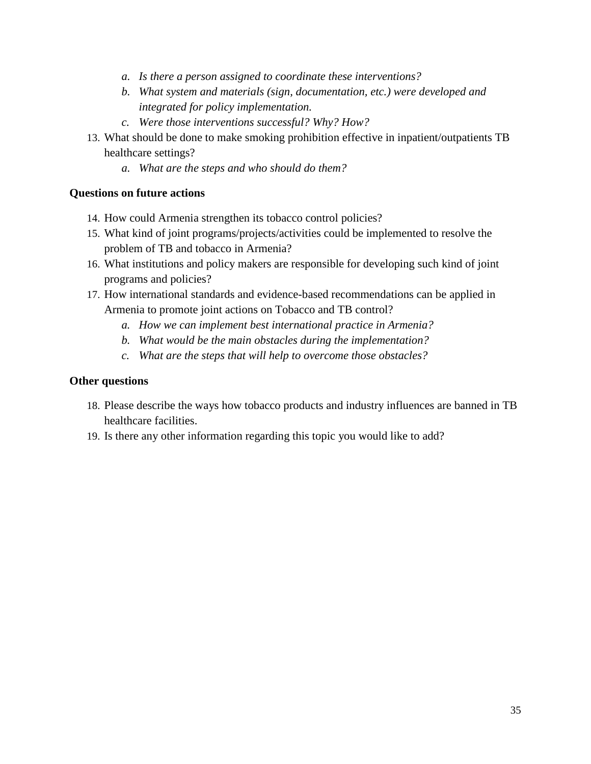- *a. Is there a person assigned to coordinate these interventions?*
- *b. What system and materials (sign, documentation, etc.) were developed and integrated for policy implementation.*
- *c. Were those interventions successful? Why? How?*
- 13. What should be done to make smoking prohibition effective in inpatient/outpatients TB healthcare settings?
	- *a. What are the steps and who should do them?*

### **Questions on future actions**

- 14. How could Armenia strengthen its tobacco control policies?
- 15. What kind of joint programs/projects/activities could be implemented to resolve the problem of TB and tobacco in Armenia?
- 16. What institutions and policy makers are responsible for developing such kind of joint programs and policies?
- 17. How international standards and evidence-based recommendations can be applied in Armenia to promote joint actions on Tobacco and TB control?
	- *a. How we can implement best international practice in Armenia?*
	- *b. What would be the main obstacles during the implementation?*
	- *c. What are the steps that will help to overcome those obstacles?*

# **Other questions**

- 18. Please describe the ways how tobacco products and industry influences are banned in TB healthcare facilities.
- 19. Is there any other information regarding this topic you would like to add?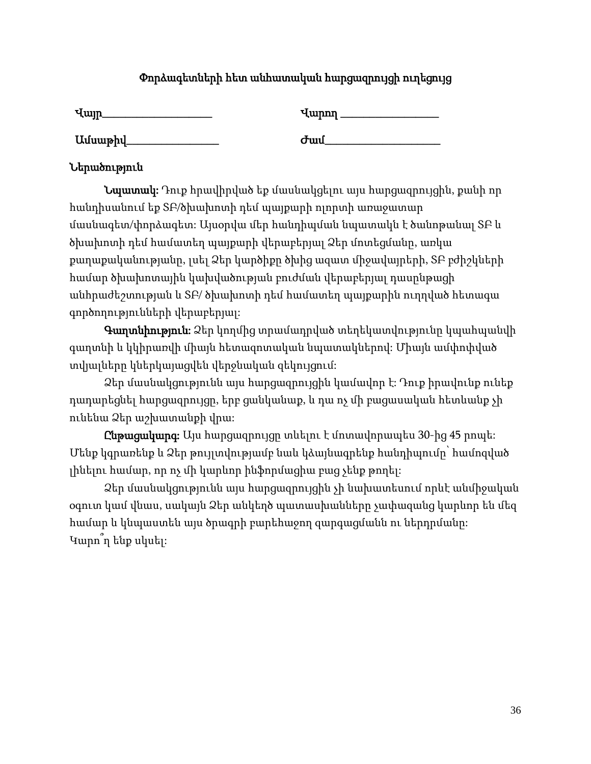# Փորձագետների հետ անհատական հարցազրույցի ուղեցույց

| Վայր    | Վարող |
|---------|-------|
| Ամսաթիվ | Ժամ   |

# Ներածություն

Նպատակ: Դուք հրավիրված եք մասնակցելու այս հարցազրույցին, քանի որ հանդիսանում եք ՏԲ/ծխախոտի դեմ պայքարի ոլորտի առաջատար մասնագետ/փորձագետ: Այսօրվա մեր հանդիպման նպատակն է ծանոթանալ ՏԲ և ծխախոտի դեմ համատեղ պայքարի վերաբերյալ Ձեր մոտեցմանը, առկա քաղաքականությանը, լսել Ձեր կարծիքը ծխից ազատ միջավայրերի, ՏԲ բժիշկների համար ծխախոտային կախվածության բուժման վերաբերյալ դասընթացի անհրաժեշտության և ՏԲ/ ծխախոտի դեմ համատեղ պայքարին ուղղված հետագա գործողությունների վերաբերյալ:

Գաղտնիություն: Ձեր կողմից տրամադրված տեղեկատվությունը կպահպանվի գաղտնի և կկիրառվի միայն հետազոտական նպատակներով: Միայն ամփոփված տվյալները կներկայացվեն վերջնական զեկույցում:

Ձեր մասնակցությունն այս հարցազրույցին կամավոր է: Դուք իրավունք ունեք դադարեցնել հարցազրույցը, երբ ցանկանաք, և դա ոչ մի բացասական հետևանք չի ունենա Ձեր աշխատանքի վրա:

Ընթացակարգ: Այս հարցազրույցը տևելու է մոտավորապես 30-ից 45 րոպե: Մենք կգրառենք և Ձեր թույլտվությամբ նաև կձայնագրենք հանդիպումը՝ համոզված լինելու համար, որ ոչ մի կարևոր ինֆորմացիա բաց չենք թողել:

Ձեր մասնակցությունն այս հարցազրույցին չի նախատեսում որևէ անմիջական օգուտ կամ վնաս, սակայն Ձեր անկեղծ պատասխանները չափազանց կարևոր են մեզ համար և կնպաստեն այս ծրագրի բարեհաջող զարգացմանն ու ներդրմանը: Կարո՞ղ ենք սկսել: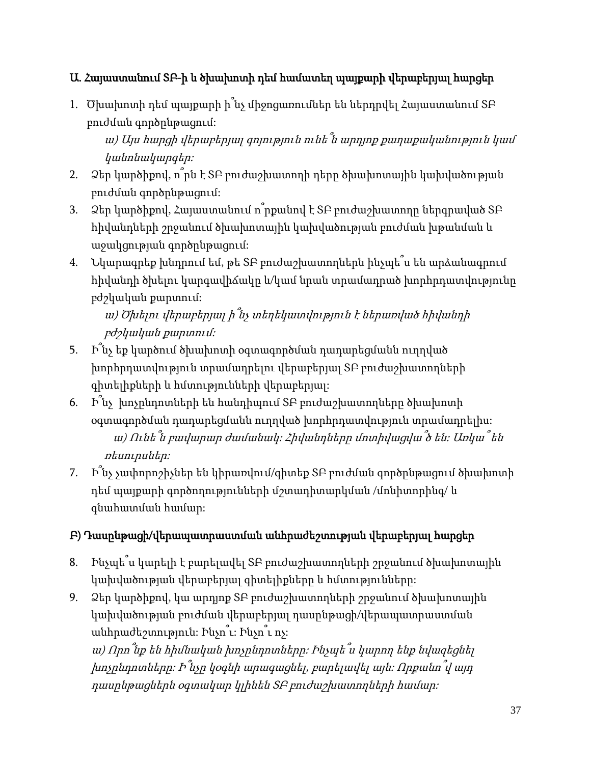# Ա. Հայաստանում ՏԲ-ի և ծխախոտի դեմ համատեղ պայքարի վերաբերյալ հարցեր

1. Ծխախոտի դեմ պայքարի ի՞նչ միջոցառումներ են ներդրվել Հայաստանում ՏԲ բուժման գործընթացում:

<sup>ա</sup>) Այս հարցի վերաբերյալ գոյություն ունե՞ն արդյոք քաղաքականություն կամ կանոնակարգեր:

- 2. Ձեր կարծիքով, ո՞րն է ՏԲ բուժաշխատողի դերը ծխախոտային կախվածության բուժման գործընթացում:
- 3. Ձեր կարծիքով, Հայաստանում ո՞րքանով է ՏԲ բուժաշխատողը ներգրաված ՏԲ հիվանդների շրջանում ծխախոտային կախվածության բուժման խթանման և աջակցության գործընթացում:
- 4. Նկարագրեք խնդրում եմ, թե ՏԲ բուժաշխատողներն ինչպե՞ս են արձանագրում հիվանդի ծխելու կարգավիճակը և/կամ նրան տրամադրած խորհրդատվությունը բժշկական քարտում:

<sup>ա</sup>) Ծխելու վերաբերյալ ի՞նչ տեղեկատվություն <sup>է</sup> ներառված հիվանդի բժշկական քարտում:

- 5. Ի՞նչ եք կարծում ծխախոտի օգտագործման դադարեցմանն ուղղված խորհրդատվություն տրամադրելու վերաբերյալ ՏԲ բուժաշխատողների գիտելիքների և հմտությունների վերաբերյալ:
- 6. Ի՞նչ խոչընդոտների են հանդիպում ՏԲ բուժաշխատողները ծխախոտի օգտագործման դադարեցմանն ուղղված խորհրդատվություն տրամադրելիս: <sup>ա</sup>) Ունե՞ն բավարար ժամանակ: Հիվանդները մոտիվացվա՞ծ են: Առկա՞ են ռեսուրսներ:
- 7. Ի՞նչ չափորոշիչներ են կիրառվում/գիտեք ՏԲ բուժման գործընթացում ծխախոտի դեմ պայքարի գործողությունների մշտադիտարկման /մոնիտորինգ/ և գնահատման համար:

# Բ) Դասընթացի/վերապատրաստման անհրաժեշտության վերաբերյալ հարցեր

- 8. Ինչպե՞ս կարելի է բարելավել ՏԲ բուժաշխատողների շրջանում ծխախոտային կախվածության վերաբերյալ գիտելիքները և հմտությունները:
- 9. Ձեր կարծիքով, կա արդյոք ՏԲ բուժաշխատողների շրջանում ծխախոտային կախվածության բուժման վերաբերյալ դասընթացի/վերապատրաստման անհրաժեշտություն: Ինչո՞ւ: Ինչո՞ւ ոչ:

<sup>ա</sup>) Որո՞նք են հիմնական խոչընդոտները: Ինչպե՞ս կարող ենք նվազեցնել խոչընդոտները: <sup>Ի</sup>՞նչը կօգնի արագացնել, բարելավել այն: Որքանո՞վ այդ դասընթացներն օգտակար կլինեն ՏԲ բուժաշխատողների համար: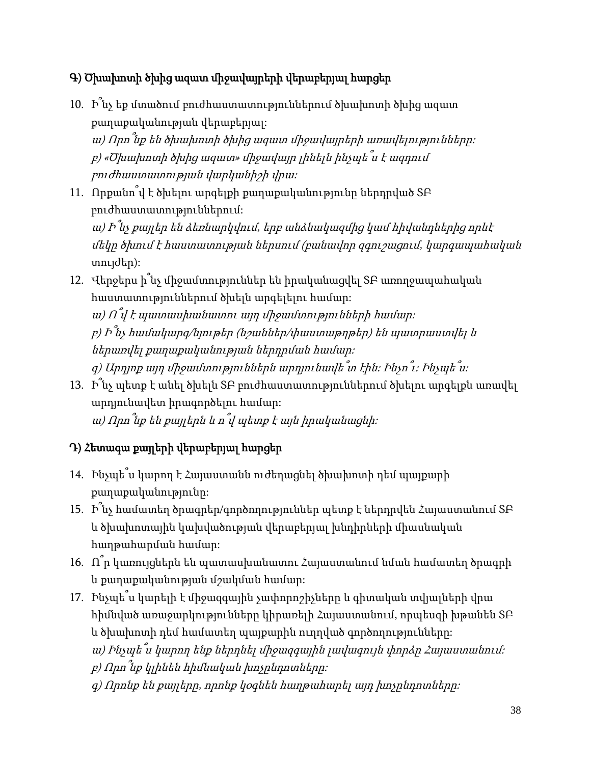# Գ) Ծխախոտի ծխից ազատ միջավայրերի վերաբերյալ հարցեր

10. Ի՞նչ եք մտածում բուժհաստատություններում ծխախոտի ծխից ազատ քաղաքականության վերաբերյալ: <sup>ա</sup>) Որո՞նք են ծխախոտի ծխից ազատ միջավայրերի առավելությունները: <sup>բ</sup>) «Ծխախոտի ծխից ազատ» միջավայր լինելն ինչպե՞ս <sup>է</sup> ազդում

բուժհաստատության վարկանիշի վրա:

11. Որքանո՞վ է ծխելու արգելքի քաղաքականությունը ներդրված ՏԲ բուժհաստատություններում:

ա) Ի՞նչ քայլեր են ձեռնարկվում, երբ անձնակազմից կամ հիվանդներից որևէ մեկը ծխում է հաստատության ներսում (բանավոր զգուշացում, կարգապահական տույժեր):

12. Վերջերս ի՞նչ միջամտություններ են իրականացվել ՏԲ առողջապահական հաստատություններում ծխելն արգելելու համար:

ա) Ո՞վ է պատասխանատու այդ միջամտությունների համար։ <sup>բ</sup>) Ի՞նչ համակարգ/նյութեր (նշաններ/փաստաթղթեր) են պատրաստվել <sup>և</sup> ներառվել քաղաքականության ներդրման համար: <sup>գ</sup>) Արդյոք այդ միջամտություններն արդյունավե՞տ էին: Ինչո՞ւ: Ինչպե՞ս:

13. Ի՞նչ պետք է անել ծխելն ՏԲ բուժհաստատություններում ծխելու արգելքն առավել արդյունավետ իրագործելու համար: <sup>ա</sup>) Որո՞նք են քայլերն <sup>և</sup> <sup>ո</sup>՞վ պետք <sup>է</sup> այն իրականացնի:

# Դ) Հետագա քայլերի վերաբերյալ հարցեր

- 14. Ինչպե՞ս կարող է Հայաստանն ուժեղացնել ծխախոտի դեմ պայքարի քաղաքականությունը:
- 15. Ի՞նչ համատեղ ծրագրեր/գործողություններ պետք է ներդրվեն Հայաստանում ՏԲ և ծխախոտային կախվածության վերաբերյալ խնդիրների միասնական հաղթահարման համար:
- 16. Ո՞ր կառույցներն են պատասխանատու Հայաստանում նման համատեղ ծրագրի և քաղաքականության մշակման համար:
- 17. Ինչպե՞ս կարելի է միջազգային չափորոշիչները և գիտական տվյալների վրա հիմնված առաջարկությունները կիրառելի Հայաստանում, որպեսզի խթանեն ՏԲ և ծխախոտի դեմ համատեղ պայքարին ուղղված գործողությունները:
	- <sup>ա</sup>) Ինչպե՞ս կարող ենք ներդնել միջազգային լավագույն փորձը Հայաստանում:

<sup>բ</sup>) Որո՞նք կլինեն հիմնական խոչընդոտները:

 $q$ ) Որոնք են քայլերը, որոնք կօգնեն հաղթահարել այդ խոչընդոտները: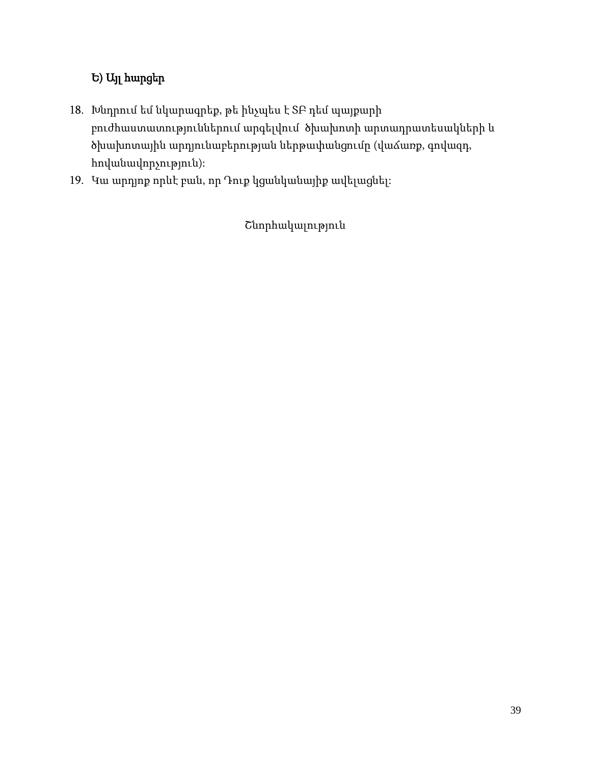# Ե) Այլ հարցեր

- 18. Խնդրում եմ նկարագրեք, թե ինչպես է ՏԲ դեմ պայքարի բուժհաստատություններում արգելվում ծխախոտի արտադրատեսակների և ծխախոտային արդյունաբերության ներթափանցումը (վաճառք, գովազդ, հովանավորչություն):
- 19. Կա արդյոք որևէ բան, որ Դուք կցանկանայիք ավելացնել:

Շնորհակալություն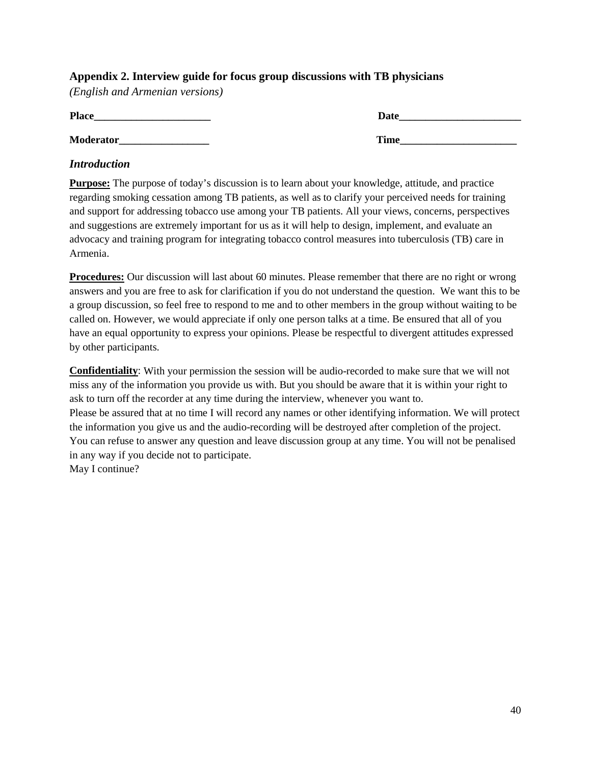# <span id="page-46-0"></span>**Appendix 2. Interview guide for focus group discussions with TB physicians**

*(English and Armenian versions)*

| <b>Place</b>     | <b>Date</b> |
|------------------|-------------|
| <b>Moderator</b> | <b>Time</b> |

### *Introduction*

**Purpose:** The purpose of today's discussion is to learn about your knowledge, attitude, and practice regarding smoking cessation among TB patients, as well as to clarify your perceived needs for training and support for addressing tobacco use among your TB patients. All your views, concerns, perspectives and suggestions are extremely important for us as it will help to design, implement, and evaluate an advocacy and training program for integrating tobacco control measures into tuberculosis (TB) care in Armenia.

**Procedures:** Our discussion will last about 60 minutes. Please remember that there are no right or wrong answers and you are free to ask for clarification if you do not understand the question. We want this to be a group discussion, so feel free to respond to me and to other members in the group without waiting to be called on. However, we would appreciate if only one person talks at a time. Be ensured that all of you have an equal opportunity to express your opinions. Please be respectful to divergent attitudes expressed by other participants.

**Confidentiality**: With your permission the session will be audio-recorded to make sure that we will not miss any of the information you provide us with. But you should be aware that it is within your right to ask to turn off the recorder at any time during the interview, whenever you want to. Please be assured that at no time I will record any names or other identifying information. We will protect the information you give us and the audio-recording will be destroyed after completion of the project. You can refuse to answer any question and leave discussion group at any time. You will not be penalised in any way if you decide not to participate. May I continue?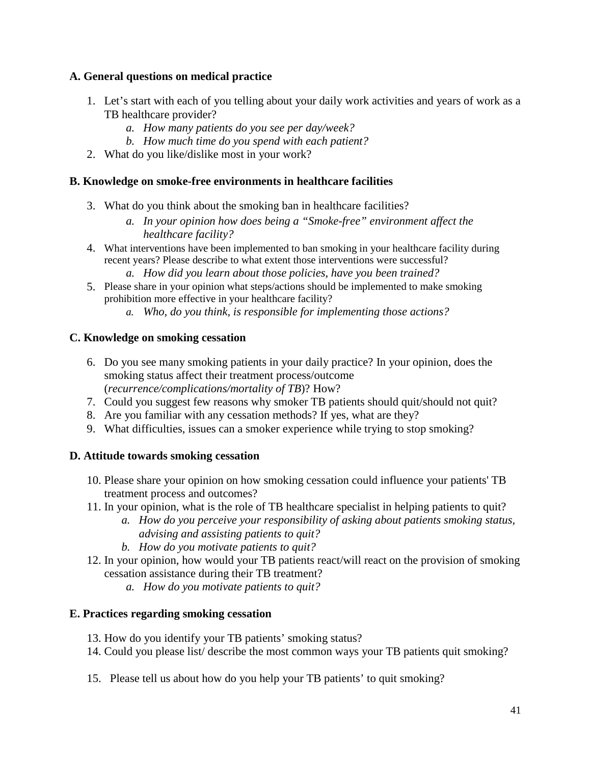# **A. General questions on medical practice**

- 1. Let's start with each of you telling about your daily work activities and years of work as a TB healthcare provider?
	- *a. How many patients do you see per day/week?*
	- *b. How much time do you spend with each patient?*
- 2. What do you like/dislike most in your work?

# **B. Knowledge on smoke-free environments in healthcare facilities**

- 3. What do you think about the smoking ban in healthcare facilities?
	- *a. In your opinion how does being a "Smoke-free" environment affect the healthcare facility?*
- 4. What interventions have been implemented to ban smoking in your healthcare facility during recent years? Please describe to what extent those interventions were successful?
	- *a. How did you learn about those policies, have you been trained?*
- 5. Please share in your opinion what steps/actions should be implemented to make smoking prohibition more effective in your healthcare facility?
	- *a. Who, do you think, is responsible for implementing those actions?*

# **C. Knowledge on smoking cessation**

- 6. Do you see many smoking patients in your daily practice? In your opinion, does the smoking status affect their treatment process/outcome (*recurrence/complications/mortality of TB*)? How?
- 7. Could you suggest few reasons why smoker TB patients should quit/should not quit?
- 8. Are you familiar with any cessation methods? If yes, what are they?
- 9. What difficulties, issues can a smoker experience while trying to stop smoking?

# **D. Attitude towards smoking cessation**

- 10. Please share your opinion on how smoking cessation could influence your patients' TB treatment process and outcomes?
- 11. In your opinion, what is the role of TB healthcare specialist in helping patients to quit?
	- *a. How do you perceive your responsibility of asking about patients smoking status, advising and assisting patients to quit?*
	- *b. How do you motivate patients to quit?*
- 12. In your opinion, how would your TB patients react/will react on the provision of smoking cessation assistance during their TB treatment?
	- *a. How do you motivate patients to quit?*

# **E. Practices regarding smoking cessation**

- 13. How do you identify your TB patients' smoking status?
- 14. Could you please list/ describe the most common ways your TB patients quit smoking?
- 15. Please tell us about how do you help your TB patients' to quit smoking?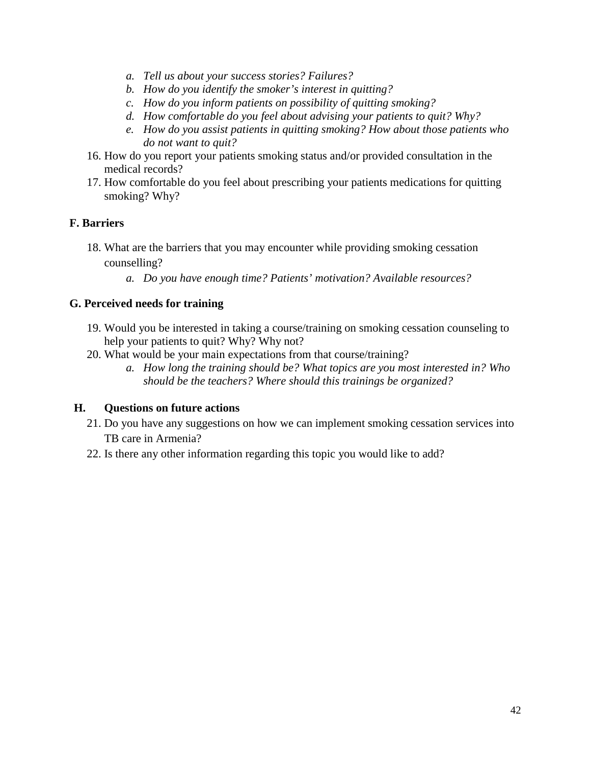- *a. Tell us about your success stories? Failures?*
- *b. How do you identify the smoker's interest in quitting?*
- *c. How do you inform patients on possibility of quitting smoking?*
- *d. How comfortable do you feel about advising your patients to quit? Why?*
- *e. How do you assist patients in quitting smoking? How about those patients who do not want to quit?*
- 16. How do you report your patients smoking status and/or provided consultation in the medical records?
- 17. How comfortable do you feel about prescribing your patients medications for quitting smoking? Why?

### **F. Barriers**

- 18. What are the barriers that you may encounter while providing smoking cessation counselling?
	- *a. Do you have enough time? Patients' motivation? Available resources?*

#### **G. Perceived needs for training**

- 19. Would you be interested in taking a course/training on smoking cessation counseling to help your patients to quit? Why? Why not?
- 20. What would be your main expectations from that course/training?
	- *a. How long the training should be? What topics are you most interested in? Who should be the teachers? Where should this trainings be organized?*

#### **H. Questions on future actions**

- 21. Do you have any suggestions on how we can implement smoking cessation services into TB care in Armenia?
- 22. Is there any other information regarding this topic you would like to add?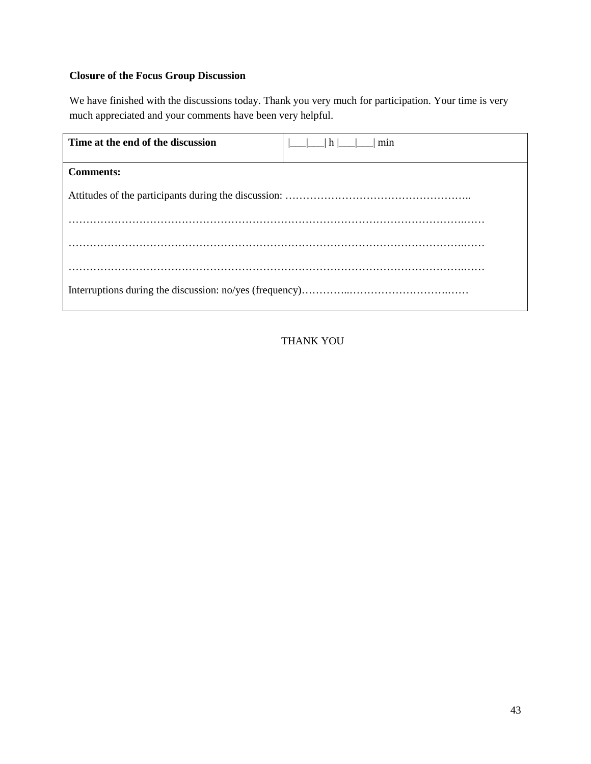# **Closure of the Focus Group Discussion**

We have finished with the discussions today. Thank you very much for participation. Your time is very much appreciated and your comments have been very helpful.

| Time at the end of the discussion | h <br>min |
|-----------------------------------|-----------|
| <b>Comments:</b>                  |           |
|                                   |           |
|                                   |           |
|                                   |           |
|                                   |           |

THANK YOU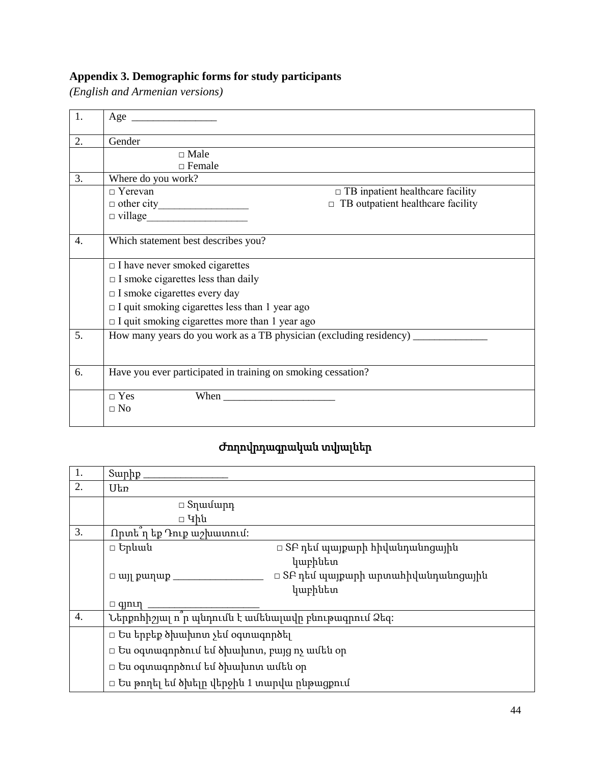# <span id="page-50-0"></span>**Appendix 3. Demographic forms for study participants**

*(English and Armenian versions)*

| 1.               | Age                                                                |
|------------------|--------------------------------------------------------------------|
| 2.               | Gender                                                             |
|                  | $\Box$ Male                                                        |
|                  | $\Box$ Female                                                      |
| 3.               | Where do you work?                                                 |
|                  | $\Box$ TB inpatient healthcare facility<br>$\Box$ Yerevan          |
|                  | $\Box$ TB outpatient healthcare facility                           |
|                  | $\Box \text{ village} \underline{\hspace{2cm}}$                    |
|                  |                                                                    |
| $\overline{4}$ . | Which statement best describes you?                                |
|                  |                                                                    |
|                  | $\Box$ I have never smoked cigarettes                              |
|                  | $\Box$ I smoke cigarettes less than daily                          |
|                  | $\Box$ I smoke cigarettes every day                                |
|                  | $\Box$ I quit smoking cigarettes less than 1 year ago              |
|                  | $\Box$ I quit smoking cigarettes more than 1 year ago              |
| 5.               | How many years do you work as a TB physician (excluding residency) |
|                  |                                                                    |
|                  |                                                                    |
| 6.               | Have you ever participated in training on smoking cessation?       |
|                  |                                                                    |
|                  | $\Box$ Yes                                                         |
|                  | $\Box$ No                                                          |
|                  |                                                                    |

# Ժողովրդագրական տվյալներ

| 1.               | Suppp                                                     |
|------------------|-----------------------------------------------------------|
| 2.               | Utn                                                       |
|                  | $□$ Տղամարդ                                               |
|                  | □ Կին                                                     |
| 3.               | Որտե ղ եք Դուք աշխատում։                                  |
|                  | $\Box$ Երևան<br>□ SԲ դեմ պայքարի հիվանդանոցային           |
|                  | կաբինետ                                                   |
|                  | □ SԲ դեմ պայքարի արտահիվանդանոցային<br>$\Box$ wij pwn wp. |
|                  | կաբինետ                                                   |
|                  | $\Box$ qinth                                              |
| $\overline{4}$ . | Ներքոհիշյալ ո՞ր պնդումն է ամենալավը բնութագրում Ձեզ։      |
|                  | $\Box$ Ես երբեք ծխախոտ չեմ օգտագործել                     |
|                  | $\Box$ Ես օգտագործում եմ ծխախոտ, բայց ոչ ամեն օր          |
|                  | $\Box$ Ես օգտագործում եմ ծխախոտ ամեն օր                   |
|                  | □ Ես թողել եմ ծխելը վերջին 1 տարվա ընթացքում              |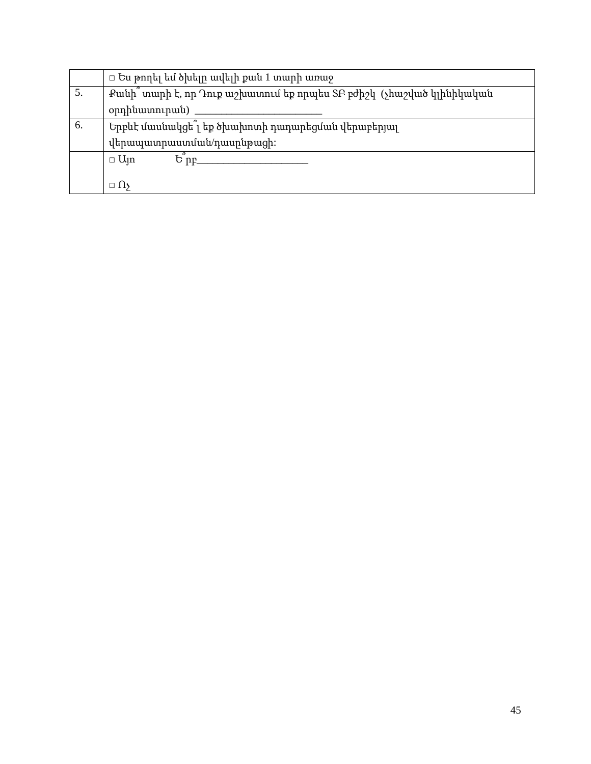|    | $\Box$ Ես թողել եմ ծխելը ավելի քան 1 տարի առաջ                        |
|----|-----------------------------------------------------------------------|
| 5. | Քանի՛՛ տարի է, որ Դուք աշխատում եք որպես ՏԲ բժիշկ (չհաշված կլինիկական |
|    | օրդինատուրան)                                                         |
| 6. | Երբևէ մասնակցել եք ծխախոտի դադարեցման վերաբերյալ                      |
|    | վերապատրաստման/դասընթացի։                                             |
|    | $\Box$ U <sub>II</sub>                                                |
|    |                                                                       |
|    | $\Box$ 119                                                            |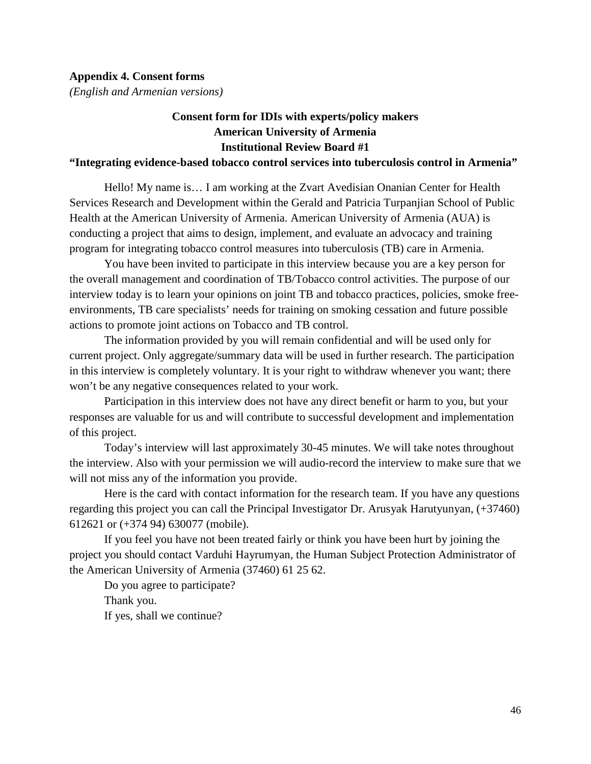<span id="page-52-0"></span>*(English and Armenian versions)*

# **Consent form for IDIs with experts/policy makers American University of Armenia Institutional Review Board #1**

#### **"Integrating evidence-based tobacco control services into tuberculosis control in Armenia"**

Hello! My name is… I am working at the Zvart Avedisian Onanian Center for Health Services Research and Development within the Gerald and Patricia Turpanjian School of Public Health at the American University of Armenia. American University of Armenia (AUA) is conducting a project that aims to design, implement, and evaluate an advocacy and training program for integrating tobacco control measures into tuberculosis (TB) care in Armenia.

You have been invited to participate in this interview because you are a key person for the overall management and coordination of TB/Tobacco control activities. The purpose of our interview today is to learn your opinions on joint TB and tobacco practices, policies, smoke freeenvironments, TB care specialists' needs for training on smoking cessation and future possible actions to promote joint actions on Tobacco and TB control.

The information provided by you will remain confidential and will be used only for current project. Only aggregate/summary data will be used in further research. The participation in this interview is completely voluntary. It is your right to withdraw whenever you want; there won't be any negative consequences related to your work.

Participation in this interview does not have any direct benefit or harm to you, but your responses are valuable for us and will contribute to successful development and implementation of this project.

Today's interview will last approximately 30-45 minutes. We will take notes throughout the interview. Also with your permission we will audio-record the interview to make sure that we will not miss any of the information you provide.

Here is the card with contact information for the research team. If you have any questions regarding this project you can call the Principal Investigator Dr. Arusyak Harutyunyan, (+37460) 612621 or (+374 94) 630077 (mobile).

If you feel you have not been treated fairly or think you have been hurt by joining the project you should contact Varduhi Hayrumyan, the Human Subject Protection Administrator of the American University of Armenia (37460) 61 25 62.

Do you agree to participate? Thank you. If yes, shall we continue?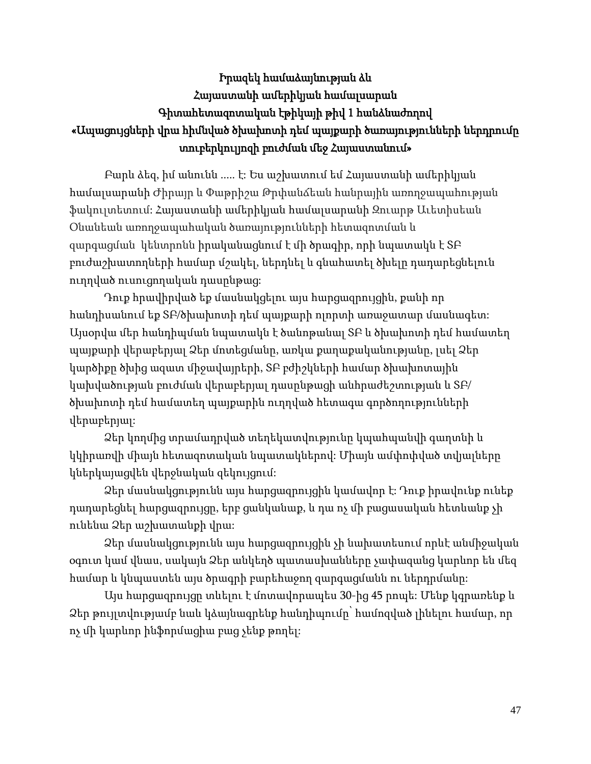# Իրազեկ համաձայնության ձև Հայաստանի ամերիկյան համալսարան Գիտահետազոտական էթիկայի թիվ 1 հանձնաժողով «Ապացույցների վրա հիմնված ծխախոտի դեմ պայքարի ծառայությունների ներդրումը տուբերկուլյոզի բուժման մեջ Հայաստանում»

Բարև ձեզ, իմ անունն ..... է: Ես աշխատում եմ Հայաստանի ամերիկյան համալսարանի Ժիրայր և Փաթրիշա Թրփանճեան հանրային առողջապահության ֆակուլտետում: Հայաստանի ամերիկյան համալսարանի Զուարթ Աւետիսեան Օնանեան առողջապահական ծառայությունների հետազոտման և զարգացման կենտրոնն իրականացնում է մի ծրագիր, որի նպատակն է ՏԲ բուժաշխատողների համար մշակել, ներդնել և գնահատել ծխելը դադարեցնելուն ուղղված ուսուցողական դասընթաց:

Դուք հրավիրված եք մասնակցելու այս հարցազրույցին, քանի որ հանդիսանում եք ՏԲ/ծխախոտի դեմ պայքարի ոլորտի առաջատար մասնագետ: Այսօրվա մեր հանդիպման նպատակն է ծանոթանալ ՏԲ և ծխախոտի դեմ համատեղ պայքարի վերաբերյալ Ձեր մոտեցմանը, առկա քաղաքականությանը, լսել Ձեր կարծիքը ծխից ազատ միջավայրերի, ՏԲ բժիշկների համար ծխախոտային կախվածության բուժման վերաբերյալ դասընթացի անհրաժեշտության և ՏԲ/ ծխախոտի դեմ համատեղ պայքարին ուղղված հետագա գործողությունների վերաբերյալ:

Ձեր կողմից տրամադրված տեղեկատվությունը կպահպանվի գաղտնի և կկիրառվի միայն հետազոտական նպատակներով: Միայն ամփոփված տվյալները կներկայացվեն վերջնական զեկույցում:

Ձեր մասնակցությունն այս հարցազրույցին կամավոր է: Դուք իրավունք ունեք դադարեցնել հարցազրույցը, երբ ցանկանաք, և դա ոչ մի բացասական հետևանք չի ունենա Ձեր աշխատանքի վրա:

Ձեր մասնակցությունն այս հարցազրույցին չի նախատեսում որևէ անմիջական օգուտ կամ վնաս, սակայն Ձեր անկեղծ պատասխանները չափազանց կարևոր են մեզ համար և կնպաստեն այս ծրագրի բարեհաջող զարգացմանն ու ներդրմանը:

Այս հարցազրույցը տևելու է մոտավորապես 30-ից 45 րոպե: Մենք կգրառենք և Ձեր թույլտվությամբ նաև կձայնագրենք հանդիպումը՝ համոզված լինելու համար, որ ոչ մի կարևոր ինֆորմացիա բաց չենք թողել: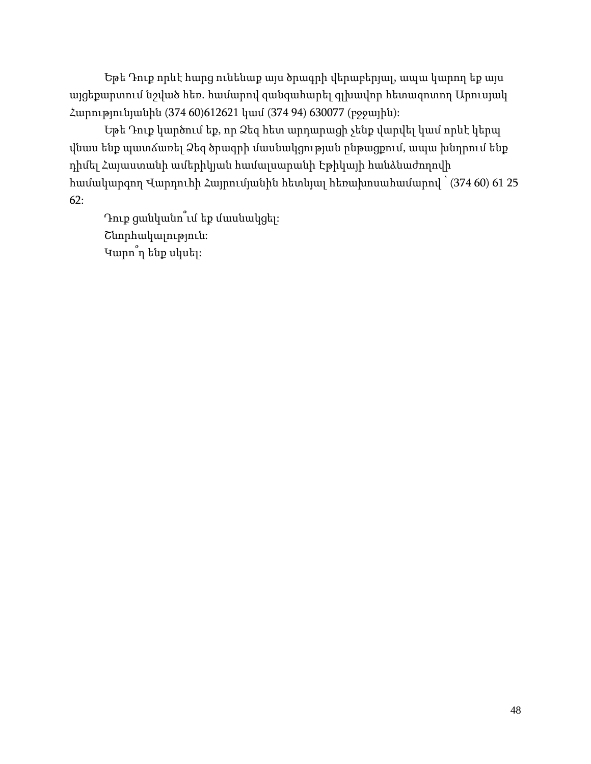Եթե Դուք որևէ հարց ունենաք այս ծրագրի վերաբերյալ, ապա կարող եք այս այցեքարտում նշված հեռ. համարով զանգահարել գլխավոր հետազոտող Արուսյակ Հարությունյանին (374 60)612621 կամ (374 94) 630077 (բջջային):

Եթե Դուք կարծում եք, որ Ձեզ հետ արդարացի չենք վարվել կամ որևէ կերպ վնաս ենք պատճառել Ձեզ ծրագրի մասնակցության ընթացքում, ապա խնդրում ենք դիմել Հայաստանի ամերիկյան համալսարանի Էթիկայի հանձնաժողովի համակարգող Վարդուհի Հայրումյանին հետևյալ հեռախոսահամարով ՝ (374 60) 61 25 62:

Դուք ցանկանո՞ւմ եք մասնակցել: Շնորհակալություն: Կարո՞ղ ենք սկսել: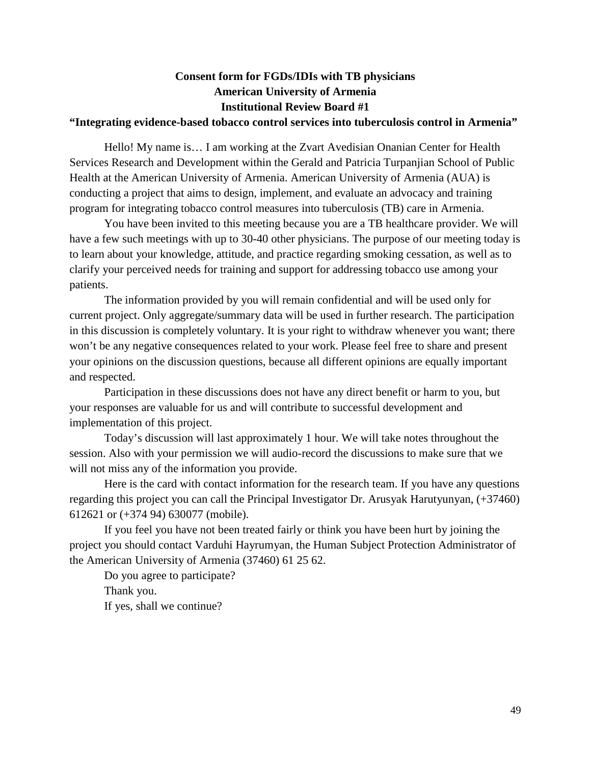# **Consent form for FGDs/IDIs with TB physicians American University of Armenia Institutional Review Board #1**

#### **"Integrating evidence-based tobacco control services into tuberculosis control in Armenia"**

Hello! My name is… I am working at the Zvart Avedisian Onanian Center for Health Services Research and Development within the Gerald and Patricia Turpanjian School of Public Health at the American University of Armenia. American University of Armenia (AUA) is conducting a project that aims to design, implement, and evaluate an advocacy and training program for integrating tobacco control measures into tuberculosis (TB) care in Armenia.

You have been invited to this meeting because you are a TB healthcare provider. We will have a few such meetings with up to 30-40 other physicians. The purpose of our meeting today is to learn about your knowledge, attitude, and practice regarding smoking cessation, as well as to clarify your perceived needs for training and support for addressing tobacco use among your patients.

The information provided by you will remain confidential and will be used only for current project. Only aggregate/summary data will be used in further research. The participation in this discussion is completely voluntary. It is your right to withdraw whenever you want; there won't be any negative consequences related to your work. Please feel free to share and present your opinions on the discussion questions, because all different opinions are equally important and respected.

Participation in these discussions does not have any direct benefit or harm to you, but your responses are valuable for us and will contribute to successful development and implementation of this project.

Today's discussion will last approximately 1 hour. We will take notes throughout the session. Also with your permission we will audio-record the discussions to make sure that we will not miss any of the information you provide.

Here is the card with contact information for the research team. If you have any questions regarding this project you can call the Principal Investigator Dr. Arusyak Harutyunyan, (+37460) 612621 or (+374 94) 630077 (mobile).

If you feel you have not been treated fairly or think you have been hurt by joining the project you should contact Varduhi Hayrumyan, the Human Subject Protection Administrator of the American University of Armenia (37460) 61 25 62.

Do you agree to participate? Thank you. If yes, shall we continue?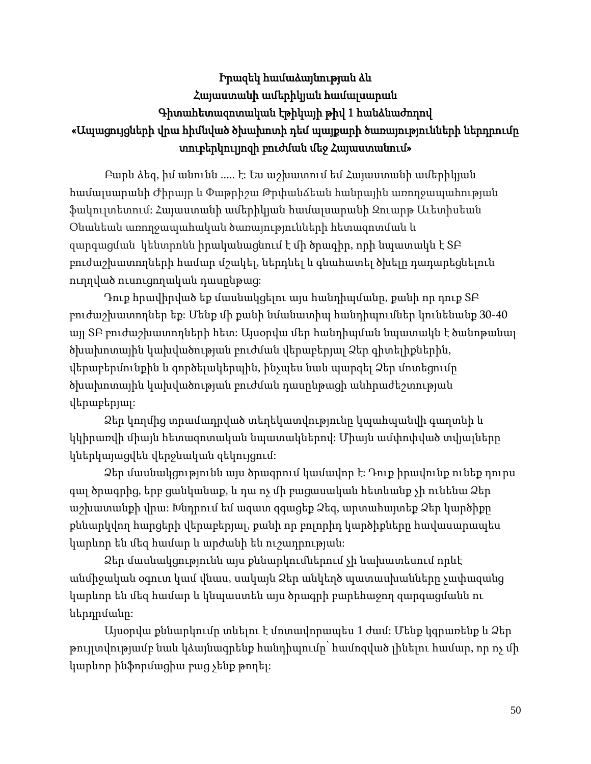# Իրազեկ համաձայնության ձև Հայաստանի ամերիկյան համալսարան Գիտահետազոտական էթիկայի թիվ 1 հանձնաժողով «Ապացույցների վրա հիմնված ծխախոտի դեմ պայքարի ծառայությունների ներդրումը տուբերկուլյոզի բուժման մեջ Հայաստանում»

Բարև ձեզ, իմ անունն ..... է: Ես աշխատում եմ Հայաստանի ամերիկյան համալսարանի Ժիրայր և Փաթրիշա Թրփանճեան հանրային առողջապահության ֆակուլտետում: Հայաստանի ամերիկյան համալսարանի Զուարթ Աւետիսեան Օնանեան առողջապահական ծառայությունների հետազոտման և զարգացման կենտրոնն իրականացնում է մի ծրագիր, որի նպատակն է ՏԲ բուժաշխատողների համար մշակել, ներդնել և գնահատել ծխելը դադարեցնելուն ուղղված ուսուցողական դասընթաց:

Դուք հրավիրված եք մասնակցելու այս հանդիպմանը, քանի որ դուք ՏԲ բուժաշխատողներ եք: Մենք մի քանի նմանատիպ հանդիպումներ կունենանք 30-40 այլ ՏԲ բուժաշխատողների հետ: Այսօրվա մեր հանդիպման նպատակն է ծանոթանալ ծխախոտային կախվածության բուժման վերաբերյալ Ձեր գիտելիքներին, վերաբերմունքին և գործելակերպին, ինչպես նաև պարզել Ձեր մոտեցումը ծխախոտային կախվածության բուժման դասընթացի անհրաժեշտության վերաբերյալ:

Ձեր կողմից տրամադրված տեղեկատվությունը կպահպանվի գաղտնի և կկիրառվի միայն հետազոտական նպատակներով: Միայն ամփոփված տվյալները կներկայացվեն վերջնական զեկույցում:

Ձեր մասնակցությունն այս ծրագրում կամավոր է: Դուք իրավունք ունեք դուրս գալ ծրագրից, երբ ցանկանաք, և դա ոչ մի բացասական հետևանք չի ունենա Ձեր աշխատանքի վրա: Խնդրում եմ ազատ զգացեք Ձեզ, արտահայտեք Ձեր կարծիքը քննարկվող հարցերի վերաբերյալ, քանի որ բոլորիդ կարծիքները հավասարապես կարևոր են մեզ համար և արժանի են ուշադրության:

Ձեր մասնակցությունն այս քննարկումներում չի նախատեսում որևէ անմիջական օգուտ կամ վնաս, սակայն Ձեր անկեղծ պատասխանները չափազանց կարևոր են մեզ համար և կնպաստեն այս ծրագրի բարեհաջող զարգացմանն ու ներդրմանը:

Այսօրվա քննարկումը տևելու է մոտավորապես 1 ժամ: Մենք կգրառենք և Ձեր թույլտվությամբ նաև կձայնագրենք հանդիպումը՝ համոզված լինելու համար, որ ոչ մի կարևոր ինֆորմացիա բաց չենք թողել: